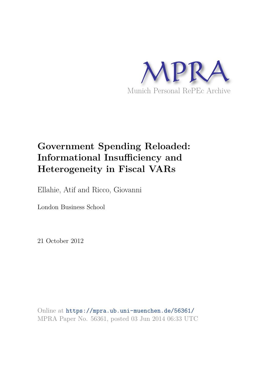

# **Government Spending Reloaded: Informational Insufficiency and Heterogeneity in Fiscal VARs**

Ellahie, Atif and Ricco, Giovanni

London Business School

21 October 2012

Online at https://mpra.ub.uni-muenchen.de/56361/ MPRA Paper No. 56361, posted 03 Jun 2014 06:33 UTC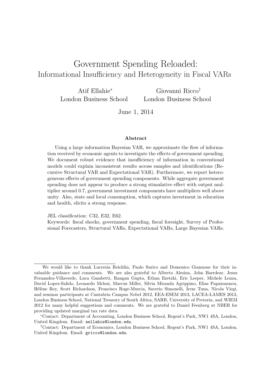# Government Spending Reloaded: Informational Insufficiency and Heterogeneity in Fiscal VARs

Atif Ellahie<sup>∗</sup> London Business School Giovanni Ricco† London Business School

June 1, 2014

#### Abstract

Using a large information Bayesian VAR, we approximate the flow of information received by economic agents to investigate the effects of government spending. We document robust evidence that insufficiency of information in conventional models could explain inconsistent results across samples and identifications (Recursive Structural VAR and Expectational VAR). Furthermore, we report heterogeneous effects of government spending components. While aggregate government spending does not appear to produce a strong stimulative effect with output multiplier around 0.7, government investment components have multipliers well above unity. Also, state and local consumption, which captures investment in education and health, elicits a strong response.

JEL classification: C32, E32, E62.

Keywords: fiscal shocks, government spending, fiscal foresight, Survey of Professional Forecasters, Structural VARs, Expectational VARs, Large Bayesian VARs.

We would like to thank Lucrezia Reichlin, Paolo Surico and Domenico Giannone for their invaluable guidance and comments. We are also grateful to Alberto Alesina, John Barrdear, Jesus Fernandez-Villaverde, Luca Gambetti, Rangan Gupta, Ethan Ilzetzki, Eric Leeper, Michele Lenza, David Lopez-Salido, Leonardo Melosi, Marcus Miller, Silvia Miranda Agrippino, Elias Papaioannou, H´el`ene Rey, Scott Richardson, Francisco Ruge-Murcia, Saverio Simonelli, ˙Irem Tuna, Nicola Viegi, and seminar participants at Cantabria Campus Nobel 2012, EEA-ESEM 2013, LACEA-LAMES 2013, London Business School, National Treasury of South Africa, SARB, University of Pretoria, and WIEM 2012 for many helpful suggestions and comments. We are grateful to Daniel Feenberg at NBER for providing updated marginal tax rate data.

<sup>∗</sup>Contact: Department of Accounting, London Business School, Regent's Park, NW1 4SA, London, United Kingdom. Email: aellahie@london.edu.

<sup>†</sup>Contact: Department of Economics, London Business School, Regent's Park, NW1 4SA, London, United Kingdom. Email: gricco@london.edu.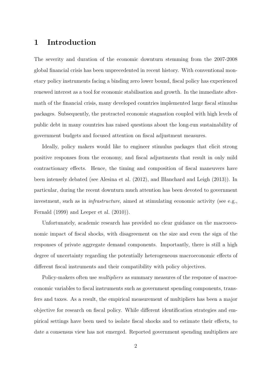### 1 Introduction

The severity and duration of the economic downturn stemming from the 2007-2008 global financial crisis has been unprecedented in recent history. With conventional monetary policy instruments facing a binding zero lower bound, fiscal policy has experienced renewed interest as a tool for economic stabilisation and growth. In the immediate aftermath of the financial crisis, many developed countries implemented large fiscal stimulus packages. Subsequently, the protracted economic stagnation coupled with high levels of public debt in many countries has raised questions about the long-run sustainability of government budgets and focused attention on fiscal adjustment measures.

Ideally, policy makers would like to engineer stimulus packages that elicit strong positive responses from the economy, and fiscal adjustments that result in only mild contractionary effects. Hence, the timing and composition of fiscal maneuvers have been intensely debated (see Alesina et al. (2012), and Blanchard and Leigh (2013)). In particular, during the recent downturn much attention has been devoted to government investment, such as in *infrastructure*, aimed at stimulating economic activity (see e.g., Fernald (1999) and Leeper et al. (2010)).

Unfortunately, academic research has provided no clear guidance on the macroeconomic impact of fiscal shocks, with disagreement on the size and even the sign of the responses of private aggregate demand components. Importantly, there is still a high degree of uncertainty regarding the potentially heterogeneous macroeconomic effects of different fiscal instruments and their compatibility with policy objectives.

Policy-makers often use *multipliers* as summary measures of the response of macroeconomic variables to fiscal instruments such as government spending components, transfers and taxes. As a result, the empirical measurement of multipliers has been a major objective for research on fiscal policy. While different identification strategies and empirical settings have been used to isolate fiscal shocks and to estimate their effects, to date a consensus view has not emerged. Reported government spending multipliers are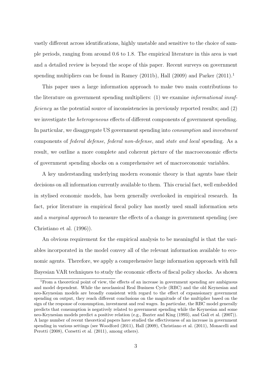vastly different across identifications, highly unstable and sensitive to the choice of sample periods, ranging from around 0.6 to 1.8. The empirical literature in this area is vast and a detailed review is beyond the scope of this paper. Recent surveys on government spending multipliers can be found in Ramey  $(2011b)$ , Hall  $(2009)$  and Parker  $(2011).<sup>1</sup>$ 

This paper uses a large information approach to make two main contributions to the literature on government spending multipliers: (1) we examine informational insufficiency as the potential source of inconsistencies in previously reported results; and (2) we investigate the heterogeneous effects of different components of government spending. In particular, we disaggregate US government spending into consumption and investment components of federal defense, federal non-defense, and state and local spending. As a result, we outline a more complete and coherent picture of the macroeconomic effects of government spending shocks on a comprehensive set of macroeconomic variables.

A key understanding underlying modern economic theory is that agents base their decisions on all information currently available to them. This crucial fact, well embedded in stylised economic models, has been generally overlooked in empirical research. In fact, prior literature in empirical fiscal policy has mostly used small information sets and a *marginal approach* to measure the effects of a change in government spending (see Christiano et al. (1996)).

An obvious requirement for the empirical analysis to be meaningful is that the variables incorporated in the model convey all of the relevant information available to economic agents. Therefore, we apply a comprehensive large information approach with full Bayesian VAR techniques to study the economic effects of fiscal policy shocks. As shown

<sup>1</sup>From a theoretical point of view, the effects of an increase in government spending are ambiguous and model dependent. While the neoclassical Real Business Cycle (RBC) and the old Keynesian and neo-Keynesian models are broadly consistent with regard to the effect of expansionary government spending on output, they reach different conclusions on the magnitude of the multiplier based on the sign of the response of consumption, investment and real wages. In particular, the RBC model generally predicts that consumption is negatively related to government spending while the Keynesian and some neo-Keynesian models predict a positive relation (e.g., Baxter and King (1993), and Galí et al. (2007)). A large number of recent theoretical papers have studied the effectiveness of an increase in government spending in various settings (see Woodford (2011), Hall (2009), Christiano et al. (2011), Monacelli and Perotti (2008), Corsetti et al. (2011), among others).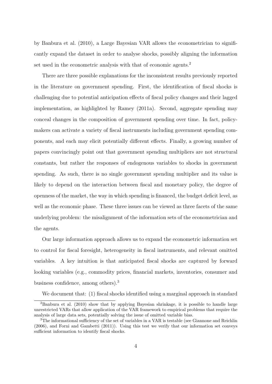by Banbura et al. (2010), a Large Bayesian VAR allows the econometrician to significantly expand the dataset in order to analyse shocks, possibly aligning the information set used in the econometric analysis with that of economic agents.<sup>2</sup>

There are three possible explanations for the inconsistent results previously reported in the literature on government spending. First, the identification of fiscal shocks is challenging due to potential anticipation effects of fiscal policy changes and their lagged implementation, as highlighted by Ramey (2011a). Second, aggregate spending may conceal changes in the composition of government spending over time. In fact, policymakers can activate a variety of fiscal instruments including government spending components, and each may elicit potentially different effects. Finally, a growing number of papers convincingly point out that government spending multipliers are not structural constants, but rather the responses of endogenous variables to shocks in government spending. As such, there is no single government spending multiplier and its value is likely to depend on the interaction between fiscal and monetary policy, the degree of openness of the market, the way in which spending is financed, the budget deficit level, as well as the economic phase. These three issues can be viewed as three facets of the same underlying problem: the misalignment of the information sets of the econometrician and the agents.

Our large information approach allows us to expand the econometric information set to control for fiscal foresight, heterogeneity in fiscal instruments, and relevant omitted variables. A key intuition is that anticipated fiscal shocks are captured by forward looking variables (e.g., commodity prices, financial markets, inventories, consumer and business confidence, among others).<sup>3</sup>

We document that: (1) fiscal shocks identified using a marginal approach in standard

<sup>2</sup>Banbura et al. (2010) show that by applying Bayesian shrinkage, it is possible to handle large unrestricted VARs that allow application of the VAR framework to empirical problems that require the analysis of large data sets, potentially solving the issue of omitted variable bias.

<sup>&</sup>lt;sup>3</sup>The informational sufficiency of the set of variables in a VAR is testable (see Giannone and Reichlin (2006), and Forni and Gambetti (2011)). Using this test we verify that our information set conveys sufficient information to identify fiscal shocks.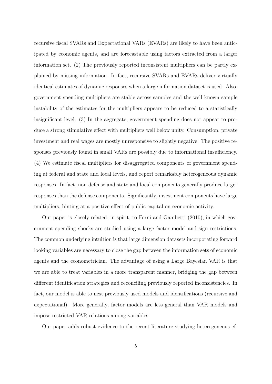recursive fiscal SVARs and Expectational VARs (EVARs) are likely to have been anticipated by economic agents, and are forecastable using factors extracted from a larger information set. (2) The previously reported inconsistent multipliers can be partly explained by missing information. In fact, recursive SVARs and EVARs deliver virtually identical estimates of dynamic responses when a large information dataset is used. Also, government spending multipliers are stable across samples and the well known sample instability of the estimates for the multipliers appears to be reduced to a statistically insignificant level. (3) In the aggregate, government spending does not appear to produce a strong stimulative effect with multipliers well below unity. Consumption, private investment and real wages are mostly unresponsive to slightly negative. The positive responses previously found in small VARs are possibly due to informational insufficiency. (4) We estimate fiscal multipliers for disaggregated components of government spending at federal and state and local levels, and report remarkably heterogeneous dynamic responses. In fact, non-defense and state and local components generally produce larger responses than the defense components. Significantly, investment components have large multipliers, hinting at a positive effect of public capital on economic activity.

Our paper is closely related, in spirit, to Forni and Gambetti (2010), in which government spending shocks are studied using a large factor model and sign restrictions. The common underlying intuition is that large dimension datasets incorporating forward looking variables are necessary to close the gap between the information sets of economic agents and the econometrician. The advantage of using a Large Bayesian VAR is that we are able to treat variables in a more transparent manner, bridging the gap between different identification strategies and reconciling previously reported inconsistencies. In fact, our model is able to nest previously used models and identifications (recursive and expectational). More generally, factor models are less general than VAR models and impose restricted VAR relations among variables.

Our paper adds robust evidence to the recent literature studying heterogeneous ef-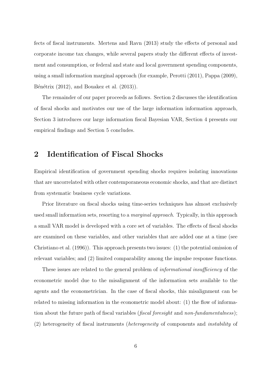fects of fiscal instruments. Mertens and Ravn (2013) study the effects of personal and corporate income tax changes, while several papers study the different effects of investment and consumption, or federal and state and local government spending components, using a small information marginal approach (for example, Perotti (2011), Pappa (2009), Bénétrix  $(2012)$ , and Bouakez et al.  $(2013)$ ).

The remainder of our paper proceeds as follows. Section 2 discusses the identification of fiscal shocks and motivates our use of the large information information approach, Section 3 introduces our large information fiscal Bayesian VAR, Section 4 presents our empirical findings and Section 5 concludes.

# 2 Identification of Fiscal Shocks

Empirical identification of government spending shocks requires isolating innovations that are uncorrelated with other contemporaneous economic shocks, and that are distinct from systematic business cycle variations.

Prior literature on fiscal shocks using time-series techniques has almost exclusively used small information sets, resorting to a *marginal approach*. Typically, in this approach a small VAR model is developed with a core set of variables. The effects of fiscal shocks are examined on these variables, and other variables that are added one at a time (see Christiano et al. (1996)). This approach presents two issues: (1) the potential omission of relevant variables; and (2) limited comparability among the impulse response functions.

These issues are related to the general problem of *informational insufficiency* of the econometric model due to the misalignment of the information sets available to the agents and the econometrician. In the case of fiscal shocks, this misalignment can be related to missing information in the econometric model about: (1) the flow of information about the future path of fiscal variables (*fiscal foresight* and *non-fundamentalness*); (2) heterogeneity of fiscal instruments (heterogeneity of components and instability of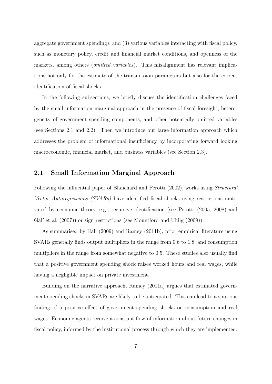aggregate government spending); and (3) various variables interacting with fiscal policy, such as monetary policy, credit and financial market conditions, and openness of the markets, among others *(omitted variables)*. This misalignment has relevant implications not only for the estimate of the transmission parameters but also for the correct identification of fiscal shocks.

In the following subsections, we briefly discuss the identification challenges faced by the small information marginal approach in the presence of fiscal foresight, heterogeneity of government spending components, and other potentially omitted variables (see Sections 2.1 and 2.2). Then we introduce our large information approach which addresses the problem of informational insufficiency by incorporating forward looking macroeconomic, financial market, and business variables (see Section 2.3).

### 2.1 Small Information Marginal Approach

Following the influential paper of Blanchard and Perotti (2002), works using Structural Vector Autoregressions (SVARs) have identified fiscal shocks using restrictions motivated by economic theory, e.g., recursive identification (see Perotti (2005, 2008) and Galí et al.  $(2007)$  or sign restrictions (see Mountford and Uhlig  $(2009)$ ).

As summarised by Hall (2009) and Ramey (2011b), prior empirical literature using SVARs generally finds output multipliers in the range from 0.6 to 1.8, and consumption multipliers in the range from somewhat negative to 0.5. These studies also usually find that a positive government spending shock raises worked hours and real wages, while having a negligible impact on private investment.

Building on the narrative approach, Ramey (2011a) argues that estimated government spending shocks in SVARs are likely to be anticipated. This can lead to a spurious finding of a positive effect of government spending shocks on consumption and real wages. Economic agents receive a constant flow of information about future changes in fiscal policy, informed by the institutional process through which they are implemented.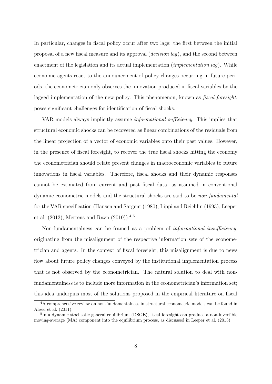In particular, changes in fiscal policy occur after two lags: the first between the initial proposal of a new fiscal measure and its approval  $(decision \, laq)$ , and the second between enactment of the legislation and its actual implementation *(implementation lag)*. While economic agents react to the announcement of policy changes occurring in future periods, the econometrician only observes the innovation produced in fiscal variables by the lagged implementation of the new policy. This phenomenon, known as *fiscal foresight*, poses significant challenges for identification of fiscal shocks.

VAR models always implicitly assume informational sufficiency. This implies that structural economic shocks can be recovered as linear combinations of the residuals from the linear projection of a vector of economic variables onto their past values. However, in the presence of fiscal foresight, to recover the true fiscal shocks hitting the economy the econometrician should relate present changes in macroeconomic variables to future innovations in fiscal variables. Therefore, fiscal shocks and their dynamic responses cannot be estimated from current and past fiscal data, as assumed in conventional dynamic econometric models and the structural shocks are said to be non-fundamental for the VAR specification (Hansen and Sargent (1980), Lippi and Reichlin (1993), Leeper et al.  $(2013)$ , Mertens and Ravn  $(2010)$ ,  $4,5$ 

Non-fundamentalness can be framed as a problem of informational insufficiency, originating from the misalignment of the respective information sets of the econometrician and agents. In the context of fiscal foresight, this misalignment is due to news flow about future policy changes conveyed by the institutional implementation process that is not observed by the econometrician. The natural solution to deal with nonfundamentalness is to include more information in the econometrician's information set; this idea underpins most of the solutions proposed in the empirical literature on fiscal

<sup>4</sup>A comprehensive review on non-fundamentalness in structural econometric models can be found in Alessi et al. (2011).

<sup>&</sup>lt;sup>5</sup>In a dynamic stochastic general equilibrium (DSGE), fiscal foresight can produce a non-invertible moving-average (MA) component into the equilibrium process, as discussed in Leeper et al. (2013).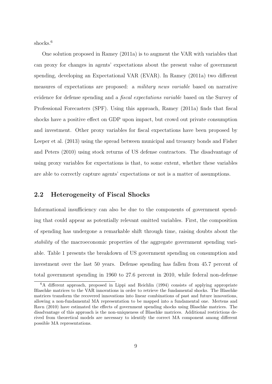shocks.<sup>6</sup>

One solution proposed in Ramey (2011a) is to augment the VAR with variables that can proxy for changes in agents' expectations about the present value of government spending, developing an Expectational VAR (EVAR). In Ramey (2011a) two different measures of expectations are proposed: a military news variable based on narrative evidence for defense spending and a fiscal expectations variable based on the Survey of Professional Forecasters (SPF). Using this approach, Ramey (2011a) finds that fiscal shocks have a positive effect on GDP upon impact, but crowd out private consumption and investment. Other proxy variables for fiscal expectations have been proposed by Leeper et al. (2013) using the spread between municipal and treasury bonds and Fisher and Peters (2010) using stock returns of US defense contractors. The disadvantage of using proxy variables for expectations is that, to some extent, whether these variables are able to correctly capture agents' expectations or not is a matter of assumptions.

#### 2.2 Heterogeneity of Fiscal Shocks

Informational insufficiency can also be due to the components of government spending that could appear as potentially relevant omitted variables. First, the composition of spending has undergone a remarkable shift through time, raising doubts about the stability of the macroeconomic properties of the aggregate government spending variable. Table 1 presents the breakdown of US government spending on consumption and investment over the last 50 years. Defense spending has fallen from 45.7 percent of total government spending in 1960 to 27.6 percent in 2010, while federal non-defense

<sup>&</sup>lt;sup>6</sup>A different approach, proposed in Lippi and Reichlin (1994) consists of applying appropriate Blaschke matrices to the VAR innovations in order to retrieve the fundamental shocks. The Blaschke matrices transform the recovered innovations into linear combinations of past and future innovations, allowing a non-fundamental MA representation to be mapped into a fundamental one. Mertens and Ravn (2010) have estimated the effects of government spending shocks using Blaschke matrices. The disadvantage of this approach is the non-uniqueness of Blaschke matrices. Additional restrictions derived from theoretical models are necessary to identify the correct MA component among different possible MA representations.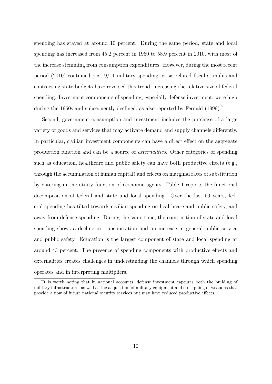spending has stayed at around 10 percent. During the same period, state and local spending has increased from 45.2 percent in 1960 to 58.9 percent in 2010, with most of the increase stemming from consumption expenditures. However, during the most recent period (2010) continued post-9/11 military spending, crisis related fiscal stimulus and contracting state budgets have reversed this trend, increasing the relative size of federal spending. Investment components of spending, especially defense investment, were high during the 1960s and subsequently declined, as also reported by Fernald (1999).<sup>7</sup>

Second, government consumption and investment includes the purchase of a large variety of goods and services that may activate demand and supply channels differently. In particular, civilian investment components can have a direct effect on the aggregate production function and can be a source of externalities. Other categories of spending such as education, healthcare and public safety can have both productive effects (e.g., through the accumulation of human capital) and effects on marginal rates of substitution by entering in the utility function of economic agents. Table 1 reports the functional decomposition of federal and state and local spending. Over the last 50 years, federal spending has tilted towards civilian spending on healthcare and public safety, and away from defense spending. During the same time, the composition of state and local spending shows a decline in transportation and an increase in general public service and public safety. Education is the largest component of state and local spending at around 43 percent. The presence of spending components with productive effects and externalities creates challenges in understanding the channels through which spending operates and in interpreting multipliers.

<sup>&</sup>lt;sup>7</sup>It is worth noting that in national accounts, defense investment captures both the building of military infrastructure, as well as the acquisition of military equipment and stockpiling of weapons that provide a flow of future national security services but may have reduced productive effects.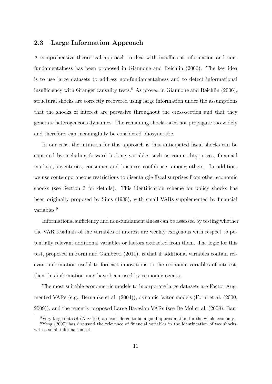### 2.3 Large Information Approach

A comprehensive theoretical approach to deal with insufficient information and nonfundamentalness has been proposed in Giannone and Reichlin (2006). The key idea is to use large datasets to address non-fundamentalness and to detect informational insufficiency with Granger causality tests.<sup>8</sup> As proved in Giannone and Reichlin  $(2006)$ , structural shocks are correctly recovered using large information under the assumptions that the shocks of interest are pervasive throughout the cross-section and that they generate heterogeneous dynamics. The remaining shocks need not propagate too widely and therefore, can meaningfully be considered idiosyncratic.

In our case, the intuition for this approach is that anticipated fiscal shocks can be captured by including forward looking variables such as commodity prices, financial markets, inventories, consumer and business confidence, among others. In addition, we use contemporaneous restrictions to disentangle fiscal surprises from other economic shocks (see Section 3 for details). This identification scheme for policy shocks has been originally proposed by Sims (1988), with small VARs supplemented by financial variables.<sup>9</sup>

Informational sufficiency and non-fundamentalness can be assessed by testing whether the VAR residuals of the variables of interest are weakly exogenous with respect to potentially relevant additional variables or factors extracted from them. The logic for this test, proposed in Forni and Gambetti (2011), is that if additional variables contain relevant information useful to forecast innovations to the economic variables of interest, then this information may have been used by economic agents.

The most suitable econometric models to incorporate large datasets are Factor Augmented VARs (e.g., Bernanke et al. (2004)), dynamic factor models (Forni et al. (2000, 2009)), and the recently proposed Large Bayesian VARs (see De Mol et al. (2008); Ban-

<sup>&</sup>lt;sup>8</sup>Very large dataset ( $N \sim 100$ ) are considered to be a good approximation for the whole economy.

<sup>&</sup>lt;sup>9</sup>Yang (2007) has discussed the relevance of financial variables in the identification of tax shocks, with a small information set.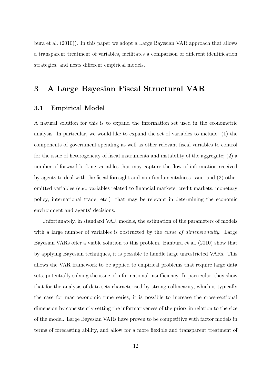bura et al. (2010)). In this paper we adopt a Large Bayesian VAR approach that allows a transparent treatment of variables, facilitates a comparison of different identification strategies, and nests different empirical models.

# 3 A Large Bayesian Fiscal Structural VAR

### 3.1 Empirical Model

A natural solution for this is to expand the information set used in the econometric analysis. In particular, we would like to expand the set of variables to include: (1) the components of government spending as well as other relevant fiscal variables to control for the issue of heterogeneity of fiscal instruments and instability of the aggregate; (2) a number of forward looking variables that may capture the flow of information received by agents to deal with the fiscal foresight and non-fundamentalness issue; and (3) other omitted variables (e.g., variables related to financial markets, credit markets, monetary policy, international trade, etc.) that may be relevant in determining the economic environment and agents' decisions.

Unfortunately, in standard VAR models, the estimation of the parameters of models with a large number of variables is obstructed by the *curse of dimensionality*. Large Bayesian VARs offer a viable solution to this problem. Banbura et al. (2010) show that by applying Bayesian techniques, it is possible to handle large unrestricted VARs. This allows the VAR framework to be applied to empirical problems that require large data sets, potentially solving the issue of informational insufficiency. In particular, they show that for the analysis of data sets characterised by strong collinearity, which is typically the case for macroeconomic time series, it is possible to increase the cross-sectional dimension by consistently setting the informativeness of the priors in relation to the size of the model. Large Bayesian VARs have proven to be competitive with factor models in terms of forecasting ability, and allow for a more flexible and transparent treatment of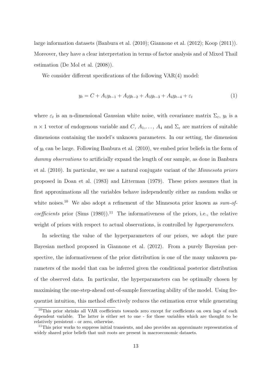large information datasets (Banbura et al. (2010); Giannone et al. (2012); Koop (2011)). Moreover, they have a clear interpretation in terms of factor analysis and of Mixed Thail estimation (De Mol et al. (2008)).

We consider different specifications of the following VAR(4) model:

$$
y_t = C + A_1 y_{t-1} + A_2 y_{t-2} + A_3 y_{t-3} + A_4 y_{t-4} + \varepsilon_t \tag{1}
$$

where  $\varepsilon_t$  is an n-dimensional Gaussian white noise, with covariance matrix  $\Sigma_{\varepsilon}$ ,  $y_t$  is a  $n \times 1$  vector of endogenous variable and  $C, A_1, \ldots, A_4$  and  $\Sigma_{\varepsilon}$  are matrices of suitable dimensions containing the model's unknown parameters. In our setting, the dimension of  $y_t$  can be large. Following Banbura et al. (2010), we embed prior beliefs in the form of dummy observations to artificially expand the length of our sample, as done in Banbura et al. (2010). In particular, we use a natural conjugate variant of the Minnesota priors proposed in Doan et al. (1983) and Litterman (1979). These priors assumes that in first approximations all the variables behave independently either as random walks or white noises.<sup>10</sup> We also adopt a refinement of the Minnesota prior known as  $sum-of$ coefficients prior (Sims  $(1980)$ ).<sup>11</sup> The informativeness of the priors, i.e., the relative weight of priors with respect to actual observations, is controlled by *hyperparameters*.

In selecting the value of the hyperparameters of our priors, we adopt the pure Bayesian method proposed in Giannone et al. (2012). From a purely Bayesian perspective, the informativeness of the prior distribution is one of the many unknown parameters of the model that can be inferred given the conditional posterior distribution of the observed data. In particular, the hyperparameters can be optimally chosen by maximising the one-step-ahead out-of-sample forecasting ability of the model. Using frequentist intuition, this method effectively reduces the estimation error while generating

<sup>10</sup>This prior shrinks all VAR coefficients towards zero except for coefficients on own lags of each dependent variable. The latter is either set to one - for those variables which are thought to be relatively persistent - or zero, otherwise.

<sup>&</sup>lt;sup>11</sup>This prior works to suppress initial transients, and also provides an approximate representation of widely shared prior beliefs that unit roots are present in macroeconomic datasets.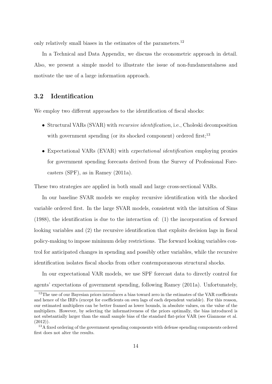only relatively small biases in the estimates of the parameters.<sup>12</sup>

In a Technical and Data Appendix, we discuss the econometric approach in detail. Also, we present a simple model to illustrate the issue of non-fundamentalness and motivate the use of a large information approach.

### 3.2 Identification

We employ two different approaches to the identification of fiscal shocks:

- Structural VARs (SVAR) with *recursive identification*, i.e., Choleski decomposition with government spending (or its shocked component) ordered first:<sup>13</sup>
- Expectational VARs (EVAR) with expectational identification employing proxies for government spending forecasts derived from the Survey of Professional Forecasters (SPF), as in Ramey (2011a).

These two strategies are applied in both small and large cross-sectional VARs.

In our baseline SVAR models we employ recursive identification with the shocked variable ordered first. In the large SVAR models, consistent with the intuition of Sims (1988), the identification is due to the interaction of: (1) the incorporation of forward looking variables and (2) the recursive identification that exploits decision lags in fiscal policy-making to impose minimum delay restrictions. The forward looking variables control for anticipated changes in spending and possibly other variables, while the recursive identification isolates fiscal shocks from other contemporaneous structural shocks.

In our expectational VAR models, we use SPF forecast data to directly control for agents' expectations of government spending, following Ramey (2011a). Unfortunately,

<sup>&</sup>lt;sup>12</sup>The use of our Bayesian priors introduces a bias toward zero in the estimates of the VAR coefficients and hence of the IRFs (except for coefficients on own lags of each dependent variable). For this reason, our estimated multipliers can be better framed as lower bounds, in absolute values, on the value of the multipliers. However, by selecting the informativeness of the priors optimally, the bias introduced is not substantially larger than the small sample bias of the standard flat-prior VAR (see Giannone et al. (2012)).

<sup>&</sup>lt;sup>13</sup>A fixed ordering of the government spending components with defense spending components ordered first does not alter the results.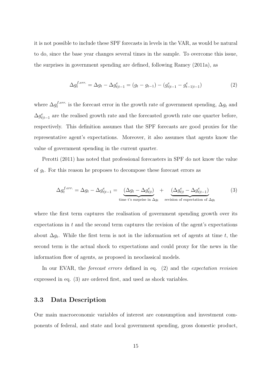it is not possible to include these SPF forecasts in levels in the VAR, as would be natural to do, since the base year changes several times in the sample. To overcome this issue, the surprises in government spending are defined, following Ramey (2011a), as

$$
\Delta g_t^{f. err.} = \Delta g_t - \Delta g_{t|t-1}^e = (g_t - g_{t-1}) - (g_{t|t-1}^e - g_{t-1|t-1}^e)
$$
\n(2)

where  $\Delta g_t^{f. err.}$  $t^{i, err.}$  is the forecast error in the growth rate of government spending,  $\Delta g_t$  and  $\Delta g_{t|t-1}^e$  are the realised growth rate and the forecasted growth rate one quarter before, respectively. This definition assumes that the SPF forecasts are good proxies for the representative agent's expectations. Moreover, it also assumes that agents know the value of government spending in the current quarter.

Perotti (2011) has noted that professional forecasters in SPF do not know the value of  $g_t$ . For this reason he proposes to decompose these forecast errors as

$$
\Delta g_t^{f. err.} = \Delta g_t - \Delta g_{t|t-1}^e = \underbrace{(\Delta g_t - \Delta g_{t|t}^e)}_{\text{time t's surprise in } \Delta g_t} + \underbrace{(\Delta g_{t|t}^e - \Delta g_{t|t-1}^e)}_{\text{revision of expectation of } \Delta g_t}
$$
 (3)

where the first term captures the realisation of government spending growth over its expectations in  $t$  and the second term captures the revision of the agent's expectations about  $\Delta g_t$ . While the first term is not in the information set of agents at time t, the second term is the actual shock to expectations and could proxy for the news in the information flow of agents, as proposed in neoclassical models.

In our EVAR, the forecast errors defined in eq. (2) and the expectation revision expressed in eq. (3) are ordered first, and used as shock variables.

#### 3.3 Data Description

Our main macroeconomic variables of interest are consumption and investment components of federal, and state and local government spending, gross domestic product,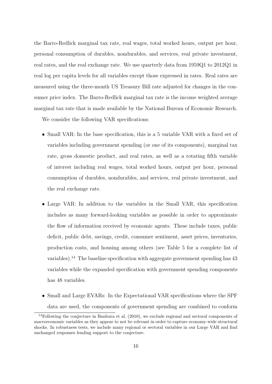the Barro-Redlick marginal tax rate, real wages, total worked hours, output per hour, personal consumption of durables, nondurables, and services, real private investment, real rates, and the real exchange rate. We use quarterly data from 1959Q1 to 2012Q1 in real log per capita levels for all variables except those expressed in rates. Real rates are measured using the three-month US Treasury Bill rate adjusted for changes in the consumer price index. The Barro-Redlick marginal tax rate is the income weighted average marginal tax rate that is made available by the National Bureau of Economic Research.

We consider the following VAR specifications:

- Small VAR: In the base specification, this is a 5 variable VAR with a fixed set of variables including government spending (or one of its components), marginal tax rate, gross domestic product, and real rates, as well as a rotating fifth variable of interest including real wages, total worked hours, output per hour, personal consumption of durables, nondurables, and services, real private investment, and the real exchange rate.
- Large VAR: In addition to the variables in the Small VAR, this specification includes as many forward-looking variables as possible in order to approximate the flow of information received by economic agents. These include taxes, public deficit, public debt, savings, credit, consumer sentiment, asset prices, inventories, production costs, and housing among others (see Table 5 for a complete list of variables).<sup>14</sup> The baseline specification with aggregate government spending has  $43$ variables while the expanded specification with government spending components has 48 variables.
- Small and Large EVARs: In the Expectational VAR specifications where the SPF data are used, the components of government spending are combined to conform

 $14$ Following the conjecture in Banbura et al. (2010), we exclude regional and sectoral components of macroeconomic variables as they appear to not be relevant in order to capture economy-wide structural shocks. In robustness tests, we include many regional or sectoral variables in our Large VAR and find unchanged responses lending support to the conjecture.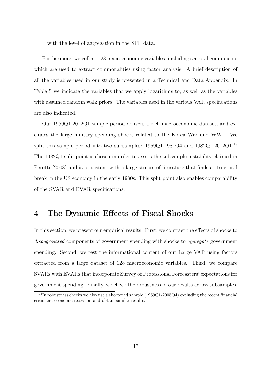with the level of aggregation in the SPF data.

Furthermore, we collect 128 macroeconomic variables, including sectoral components which are used to extract commonalities using factor analysis. A brief description of all the variables used in our study is presented in a Technical and Data Appendix. In Table 5 we indicate the variables that we apply logarithms to, as well as the variables with assumed random walk priors. The variables used in the various VAR specifications are also indicated.

Our 1959Q1-2012Q1 sample period delivers a rich macroeconomic dataset, and excludes the large military spending shocks related to the Korea War and WWII. We split this sample period into two subsamples:  $1959Q1-1981Q4$  and  $1982Q1-2012Q1$ .<sup>15</sup> The 1982Q1 split point is chosen in order to assess the subsample instability claimed in Perotti (2008) and is consistent with a large stream of literature that finds a structural break in the US economy in the early 1980s. This split point also enables comparability of the SVAR and EVAR specifications.

## 4 The Dynamic Effects of Fiscal Shocks

In this section, we present our empirical results. First, we contrast the effects of shocks to disaggregated components of government spending with shocks to aggregate government spending. Second, we test the informational content of our Large VAR using factors extracted from a large dataset of 128 macroeconomic variables. Third, we compare SVARs with EVARs that incorporate Survey of Professional Forecasters' expectations for government spending. Finally, we check the robustness of our results across subsamples.

 $15$ In robustness checks we also use a shortened sample (1959Q1-2005Q4) excluding the recent financial crisis and economic recession and obtain similar results.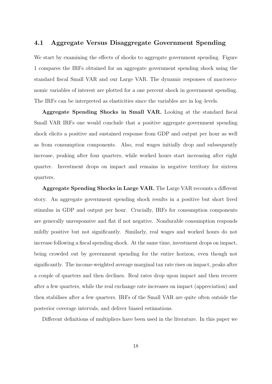#### 4.1 Aggregate Versus Disaggregate Government Spending

We start by examining the effects of shocks to aggregate government spending. Figure 1 compares the IRFs obtained for an aggregate government spending shock using the standard fiscal Small VAR and our Large VAR. The dynamic responses of macroeconomic variables of interest are plotted for a one percent shock in government spending. The IRFs can be interpreted as elasticities since the variables are in log–levels.

Aggregate Spending Shocks in Small VAR. Looking at the standard fiscal Small VAR IRFs one would conclude that a positive aggregate government spending shock elicits a positive and sustained response from GDP and output per hour as well as from consumption components. Also, real wages initially drop and subsequently increase, peaking after four quarters, while worked hours start increasing after eight quarter. Investment drops on impact and remains in negative territory for sixteen quarters.

Aggregate Spending Shocks in Large VAR. The Large VAR recounts a different story. An aggregate government spending shock results in a positive but short lived stimulus in GDP and output per hour. Crucially, IRFs for consumption components are generally unresponsive and flat if not negative. Nondurable consumption responds mildly positive but not significantly. Similarly, real wages and worked hours do not increase following a fiscal spending shock. At the same time, investment drops on impact, being crowded out by government spending for the entire horizon, even though not significantly. The income-weighted average marginal tax rate rises on impact, peaks after a couple of quarters and then declines. Real rates drop upon impact and then recover after a few quarters, while the real exchange rate increases on impact (appreciation) and then stabilises after a few quarters. IRFs of the Small VAR are quite often outside the posterior coverage intervals, and deliver biased estimations.

Different definitions of multipliers have been used in the literature. In this paper we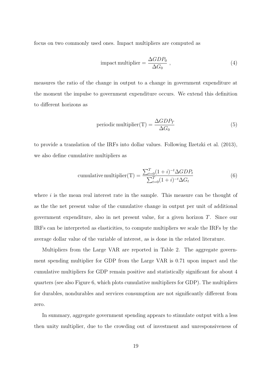focus on two commonly used ones. Impact multipliers are computed as

$$
impact multiplier = \frac{\Delta GDP_0}{\Delta G_0} \,, \tag{4}
$$

measures the ratio of the change in output to a change in government expenditure at the moment the impulse to government expenditure occurs. We extend this definition to different horizons as

periodic multiplier(T) = 
$$
\frac{\Delta GDP_T}{\Delta G_0}
$$
 (5)

to provide a translation of the IRFs into dollar values. Following Ilzetzki et al. (2013), we also define cumulative multipliers as

cumulative multiplier(T) = 
$$
\frac{\sum_{t=0}^{T} (1+i)^{-t} \Delta GDP_t}{\sum_{t=0}^{T} (1+i)^{-t} \Delta G_t}
$$
 (6)

where  $i$  is the mean real interest rate in the sample. This measure can be thought of as the the net present value of the cumulative change in output per unit of additional government expenditure, also in net present value, for a given horizon T. Since our IRFs can be interpreted as elasticities, to compute multipliers we scale the IRFs by the average dollar value of the variable of interest, as is done in the related literature.

Multipliers from the Large VAR are reported in Table 2. The aggregate government spending multiplier for GDP from the Large VAR is 0.71 upon impact and the cumulative multipliers for GDP remain positive and statistically significant for about 4 quarters (see also Figure 6, which plots cumulative multipliers for GDP). The multipliers for durables, nondurables and services consumption are not significantly different from zero.

In summary, aggregate government spending appears to stimulate output with a less then unity multiplier, due to the crowding out of investment and unresponsiveness of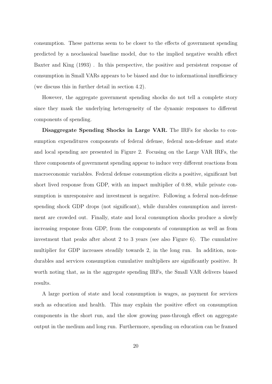consumption. These patterns seem to be closer to the effects of government spending predicted by a neoclassical baseline model, due to the implied negative wealth effect Baxter and King (1993) . In this perspective, the positive and persistent response of consumption in Small VARs appears to be biased and due to informational insufficiency (we discuss this in further detail in section 4.2).

However, the aggregate government spending shocks do not tell a complete story since they mask the underlying heterogeneity of the dynamic responses to different components of spending.

Disaggregate Spending Shocks in Large VAR. The IRFs for shocks to consumption expenditures components of federal defense, federal non-defense and state and local spending are presented in Figure 2. Focusing on the Large VAR IRFs, the three components of government spending appear to induce very different reactions from macroeconomic variables. Federal defense consumption elicits a positive, significant but short lived response from GDP, with an impact multiplier of 0.88, while private consumption is unresponsive and investment is negative. Following a federal non-defense spending shock GDP drops (not significant), while durables consumption and investment are crowded out. Finally, state and local consumption shocks produce a slowly increasing response from GDP, from the components of consumption as well as from investment that peaks after about 2 to 3 years (see also Figure 6). The cumulative multiplier for GDP increases steadily towards 2, in the long run. In addition, nondurables and services consumption cumulative multipliers are significantly positive. It worth noting that, as in the aggregate spending IRFs, the Small VAR delivers biased results.

A large portion of state and local consumption is wages, as payment for services such as education and health. This may explain the positive effect on consumption components in the short run, and the slow growing pass-through effect on aggregate output in the medium and long run. Furthermore, spending on education can be framed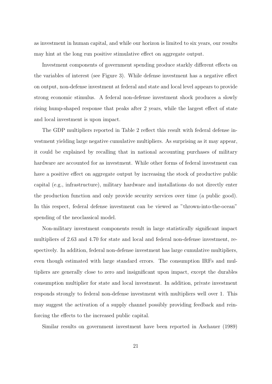as investment in human capital, and while our horizon is limited to six years, our results may hint at the long run positive stimulative effect on aggregate output.

Investment components of government spending produce starkly different effects on the variables of interest (see Figure 3). While defense investment has a negative effect on output, non-defense investment at federal and state and local level appears to provide strong economic stimulus. A federal non-defense investment shock produces a slowly rising hump-shaped response that peaks after 2 years, while the largest effect of state and local investment is upon impact.

The GDP multipliers reported in Table 2 reflect this result with federal defense investment yielding large negative cumulative multipliers. As surprising as it may appear, it could be explained by recalling that in national accounting purchases of military hardware are accounted for as investment. While other forms of federal investment can have a positive effect on aggregate output by increasing the stock of productive public capital (e.g., infrastructure), military hardware and installations do not directly enter the production function and only provide security services over time (a public good). In this respect, federal defense investment can be viewed as "thrown-into-the-ocean" spending of the neoclassical model.

Non-military investment components result in large statistically significant impact multipliers of 2.63 and 4.70 for state and local and federal non-defense investment, respectively. In addition, federal non-defense investment has large cumulative multipliers, even though estimated with large standard errors. The consumption IRFs and multipliers are generally close to zero and insignificant upon impact, except the durables consumption multiplier for state and local investment. In addition, private investment responds strongly to federal non-defense investment with multipliers well over 1. This may suggest the activation of a supply channel possibly providing feedback and reinforcing the effects to the increased public capital.

Similar results on government investment have been reported in Aschauer (1989)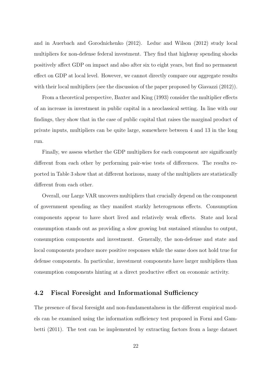and in Auerbach and Gorodnichenko (2012). Leduc and Wilson (2012) study local multipliers for non-defense federal investment. They find that highway spending shocks positively affect GDP on impact and also after six to eight years, but find no permanent effect on GDP at local level. However, we cannot directly compare our aggregate results with their local multipliers (see the discussion of the paper proposed by Giavazzi  $(2012)$ ).

From a theoretical perspective, Baxter and King (1993) consider the multiplier effects of an increase in investment in public capital in a neoclassical setting. In line with our findings, they show that in the case of public capital that raises the marginal product of private inputs, multipliers can be quite large, somewhere between 4 and 13 in the long run.

Finally, we assess whether the GDP multipliers for each component are significantly different from each other by performing pair-wise tests of differences. The results reported in Table 3 show that at different horizons, many of the multipliers are statistically different from each other.

Overall, our Large VAR uncovers multipliers that crucially depend on the component of government spending as they manifest starkly heterogenous effects. Consumption components appear to have short lived and relatively weak effects. State and local consumption stands out as providing a slow growing but sustained stimulus to output, consumption components and investment. Generally, the non-defense and state and local components produce more positive responses while the same does not hold true for defense components. In particular, investment components have larger multipliers than consumption components hinting at a direct productive effect on economic activity.

### 4.2 Fiscal Foresight and Informational Sufficiency

The presence of fiscal foresight and non-fundamentalness in the different empirical models can be examined using the information sufficiency test proposed in Forni and Gambetti (2011). The test can be implemented by extracting factors from a large dataset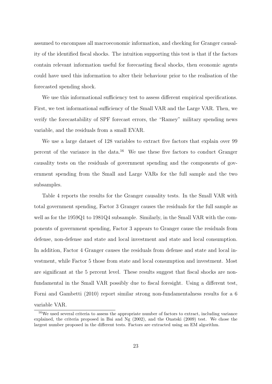assumed to encompass all macroeconomic information, and checking for Granger causality of the identified fiscal shocks. The intuition supporting this test is that if the factors contain relevant information useful for forecasting fiscal shocks, then economic agents could have used this information to alter their behaviour prior to the realisation of the forecasted spending shock.

We use this informational sufficiency test to assess different empirical specifications. First, we test informational sufficiency of the Small VAR and the Large VAR. Then, we verify the forecastability of SPF forecast errors, the "Ramey" military spending news variable, and the residuals from a small EVAR.

We use a large dataset of 128 variables to extract five factors that explain over 99 percent of the variance in the data.<sup>16</sup> We use these five factors to conduct Granger causality tests on the residuals of government spending and the components of government spending from the Small and Large VARs for the full sample and the two subsamples.

Table 4 reports the results for the Granger causality tests. In the Small VAR with total government spending, Factor 3 Granger causes the residuals for the full sample as well as for the 1959Q1 to 1981Q4 subsample. Similarly, in the Small VAR with the components of government spending, Factor 3 appears to Granger cause the residuals from defense, non-defense and state and local investment and state and local consumption. In addition, Factor 4 Granger causes the residuals from defense and state and local investment, while Factor 5 those from state and local consumption and investment. Most are significant at the 5 percent level. These results suggest that fiscal shocks are nonfundamental in the Small VAR possibly due to fiscal foresight. Using a different test, Forni and Gambetti (2010) report similar strong non-fundamentalness results for a 6 variable VAR.

 $16$ We used several criteria to assess the appropriate number of factors to extract, including variance explained, the criteria proposed in Bai and Ng (2002), and the Onatski (2009) test. We chose the largest number proposed in the different tests. Factors are extracted using an EM algorithm.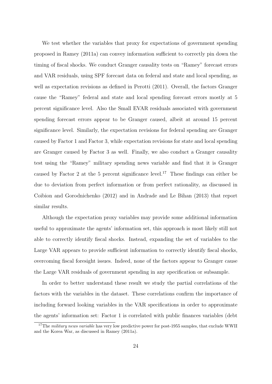We test whether the variables that proxy for expectations of government spending proposed in Ramey (2011a) can convey information sufficient to correctly pin down the timing of fiscal shocks. We conduct Granger causality tests on "Ramey" forecast errors and VAR residuals, using SPF forecast data on federal and state and local spending, as well as expectation revisions as defined in Perotti (2011). Overall, the factors Granger cause the "Ramey" federal and state and local spending forecast errors mostly at 5 percent significance level. Also the Small EVAR residuals associated with government spending forecast errors appear to be Granger caused, albeit at around 15 percent significance level. Similarly, the expectation revisions for federal spending are Granger caused by Factor 1 and Factor 3, while expectation revisions for state and local spending are Granger caused by Factor 3 as well. Finally, we also conduct a Granger causality test using the "Ramey" military spending news variable and find that it is Granger caused by Factor 2 at the 5 percent significance level.<sup>17</sup> These findings can either be due to deviation from perfect information or from perfect rationality, as discussed in Coibion and Gorodnichenko (2012) and in Andrade and Le Bihan (2013) that report similar results.

Although the expectation proxy variables may provide some additional information useful to approximate the agents' information set, this approach is most likely still not able to correctly identify fiscal shocks. Instead, expanding the set of variables to the Large VAR appears to provide sufficient information to correctly identify fiscal shocks, overcoming fiscal foresight issues. Indeed, none of the factors appear to Granger cause the Large VAR residuals of government spending in any specification or subsample.

In order to better understand these result we study the partial correlations of the factors with the variables in the dataset. These correlations confirm the importance of including forward looking variables in the VAR specifications in order to approximate the agents' information set: Factor 1 is correlated with public finances variables (debt

<sup>&</sup>lt;sup>17</sup>The *military news variable* has very low predictive power for post-1955 samples, that exclude WWII and the Korea War, as discussed in Ramey (2011a).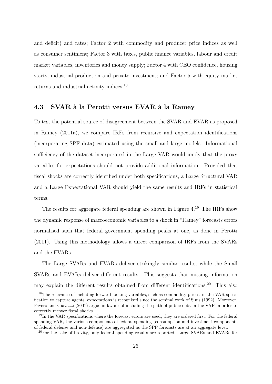and deficit) and rates; Factor 2 with commodity and producer price indices as well as consumer sentiment; Factor 3 with taxes, public finance variables, labour and credit market variables, inventories and money supply; Factor 4 with CEO confidence, housing starts, industrial production and private investment; and Factor 5 with equity market returns and industrial activity indices.<sup>18</sup>

#### 4.3 SVAR à la Perotti versus EVAR à la Ramey

To test the potential source of disagreement between the SVAR and EVAR as proposed in Ramey (2011a), we compare IRFs from recursive and expectation identifications (incorporating SPF data) estimated using the small and large models. Informational sufficiency of the dataset incorporated in the Large VAR would imply that the proxy variables for expectations should not provide additional information. Provided that fiscal shocks are correctly identified under both specifications, a Large Structural VAR and a Large Expectational VAR should yield the same results and IRFs in statistical terms.

The results for aggregate federal spending are shown in Figure 4.<sup>19</sup> The IRFs show the dynamic response of macroeconomic variables to a shock in "Ramey" forecasts errors normalised such that federal government spending peaks at one, as done in Perotti (2011). Using this methodology allows a direct comparison of IRFs from the SVARs and the EVARs.

The Large SVARs and EVARs deliver strikingly similar results, while the Small SVARs and EVARs deliver different results. This suggests that missing information may explain the different results obtained from different identifications.<sup>20</sup> This also

<sup>&</sup>lt;sup>18</sup>The relevance of including forward looking variables, such as commodity prices, in the VAR specification to capture agents' expectations is recognised since the seminal work of Sims (1992). Moreover, Favero and Giavazzi (2007) argue in favour of including the path of public debt in the VAR in order to correctly recover fiscal shocks.

<sup>&</sup>lt;sup>19</sup>In the VAR specifications where the forecast errors are used, they are ordered first. For the federal spending VAR, the various components of federal spending (consumption and investment components of federal defense and non-defense) are aggregated as the SPF forecasts are at an aggregate level.

<sup>&</sup>lt;sup>20</sup>For the sake of brevity, only federal spending results are reported. Large SVARs and EVARs for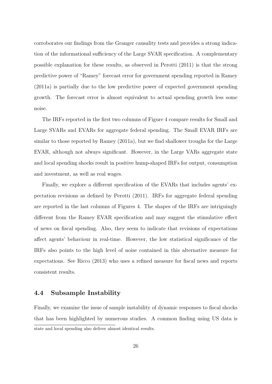corroborates our findings from the Granger causality tests and provides a strong indication of the informational sufficiency of the Large SVAR specification. A complementary possible explanation for these results, as observed in Perotti (2011) is that the strong predictive power of "Ramey" forecast error for government spending reported in Ramey (2011a) is partially due to the low predictive power of expected government spending growth. The forecast error is almost equivalent to actual spending growth less some noise.

The IRFs reported in the first two columns of Figure 4 compare results for Small and Large SVARs and EVARs for aggregate federal spending. The Small EVAR IRFs are similar to those reported by Ramey (2011a), but we find shallower troughs for the Large EVAR, although not always significant. However, in the Large VARs aggregate state and local spending shocks result in positive hump-shaped IRFs for output, consumption and investment, as well as real wages.

Finally, we explore a different specification of the EVARs that includes agents' expectation revisions as defined by Perotti (2011). IRFs for aggregate federal spending are reported in the last columns of Figures 4. The shapes of the IRFs are intriguingly different from the Ramey EVAR specification and may suggest the stimulative effect of news on fiscal spending. Also, they seem to indicate that revisions of expectations affect agents' behaviour in real-time. However, the low statistical significance of the IRFs also points to the high level of noise contained in this alternative measure for expectations. See Ricco (2013) who uses a refined measure for fiscal news and reports consistent results.

### 4.4 Subsample Instability

Finally, we examine the issue of sample instability of dynamic responses to fiscal shocks that has been highlighted by numerous studies. A common finding using US data is state and local spending also deliver almost identical results.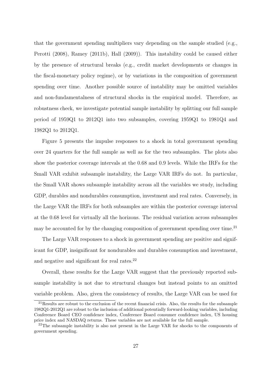that the government spending multipliers vary depending on the sample studied (e.g., Perotti (2008), Ramey (2011b), Hall (2009)). This instability could be caused either by the presence of structural breaks (e.g., credit market developments or changes in the fiscal-monetary policy regime), or by variations in the composition of government spending over time. Another possible source of instability may be omitted variables and non-fundamentalness of structural shocks in the empirical model. Therefore, as robustness check, we investigate potential sample instability by splitting our full sample period of 1959Q1 to 2012Q1 into two subsamples, covering 1959Q1 to 1981Q4 and 1982Q1 to 2012Q1.

Figure 5 presents the impulse responses to a shock in total government spending over 24 quarters for the full sample as well as for the two subsamples. The plots also show the posterior coverage intervals at the 0.68 and 0.9 levels. While the IRFs for the Small VAR exhibit subsample instability, the Large VAR IRFs do not. In particular, the Small VAR shows subsample instability across all the variables we study, including GDP, durables and nondurables consumption, investment and real rates. Conversely, in the Large VAR the IRFs for both subsamples are within the posterior coverage interval at the 0.68 level for virtually all the horizons. The residual variation across subsamples may be accounted for by the changing composition of government spending over time.<sup>21</sup>

The Large VAR responses to a shock in government spending are positive and significant for GDP, insignificant for nondurables and durables consumption and investment, and negative and significant for real rates.<sup>22</sup>

Overall, these results for the Large VAR suggest that the previously reported subsample instability is not due to structural changes but instead points to an omitted variable problem. Also, given the consistency of results, the Large VAR can be used for

<sup>&</sup>lt;sup>21</sup>Results are robust to the exclusion of the recent financial crisis. Also, the results for the subsample 1982Q1-2012Q1 are robust to the inclusion of additional potentially forward-looking variables, including Conference Board CEO confidence index, Conference Board consumer confidence index, US housing price index and NASDAQ returns. These variables are not available for the full sample.

 $22$ The subsample instability is also not present in the Large VAR for shocks to the components of government spending.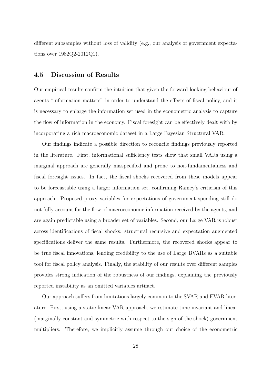different subsamples without loss of validity (e.g., our analysis of government expectations over 1982Q2-2012Q1).

#### 4.5 Discussion of Results

Our empirical results confirm the intuition that given the forward looking behaviour of agents "information matters" in order to understand the effects of fiscal policy, and it is necessary to enlarge the information set used in the econometric analysis to capture the flow of information in the economy. Fiscal foresight can be effectively dealt with by incorporating a rich macroeconomic dataset in a Large Bayesian Structural VAR.

Our findings indicate a possible direction to reconcile findings previously reported in the literature. First, informational sufficiency tests show that small VARs using a marginal approach are generally misspecified and prone to non-fundamentalness and fiscal foresight issues. In fact, the fiscal shocks recovered from these models appear to be forecastable using a larger information set, confirming Ramey's criticism of this approach. Proposed proxy variables for expectations of government spending still do not fully account for the flow of macroeconomic information received by the agents, and are again predictable using a broader set of variables. Second, our Large VAR is robust across identifications of fiscal shocks: structural recursive and expectation augmented specifications deliver the same results. Furthermore, the recovered shocks appear to be true fiscal innovations, lending credibility to the use of Large BVARs as a suitable tool for fiscal policy analysis. Finally, the stability of our results over different samples provides strong indication of the robustness of our findings, explaining the previously reported instability as an omitted variables artifact.

Our approach suffers from limitations largely common to the SVAR and EVAR literature. First, using a static linear VAR approach, we estimate time-invariant and linear (marginally constant and symmetric with respect to the sign of the shock) government multipliers. Therefore, we implicitly assume through our choice of the econometric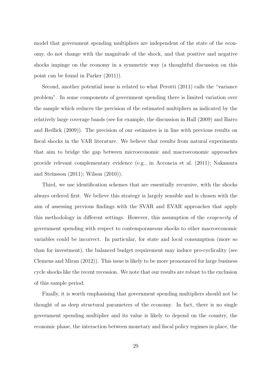model that government spending multipliers are independent of the state of the economy, do not change with the magnitude of the shock, and that positive and negative shocks impinge on the economy in a symmetric way (a thoughtful discussion on this point can be found in Parker (2011)).

Second, another potential issue is related to what Perotti (2011) calls the "variance problem". In some components of government spending there is limited variation over the sample which reduces the precision of the estimated multipliers as indicated by the relatively large coverage bands (see for example, the discussion in Hall (2009) and Barro and Redlick (2009)). The precision of our estimates is in line with previous results on fiscal shocks in the VAR literature. We believe that results from natural experiments that aim to bridge the gap between microeconomic and macroeconomic approaches provide relevant complementary evidence (e.g., in Acconcia et al. (2011); Nakamura and Steinsson (2011); Wilson (2010)).

Third, we use identification schemes that are essentially recursive, with the shocks always ordered first. We believe this strategy is largely sensible and is chosen with the aim of assessing previous findings with the SVAR and EVAR approaches that apply this methodology in different settings. However, this assumption of the exogeneity of government spending with respect to contemporaneous shocks to other macroeconomic variables could be incorrect. In particular, for state and local consumption (more so than for investment), the balanced budget requirement may induce pro-cyclicality (see Clemens and Miran (2012)). This issue is likely to be more pronounced for large business cycle shocks like the recent recession. We note that our results are robust to the exclusion of this sample period.

Finally, it is worth emphasising that government spending multipliers should not be thought of as deep structural parameters of the economy. In fact, there is no single government spending multiplier and its value is likely to depend on the country, the economic phase, the interaction between monetary and fiscal policy regimes in place, the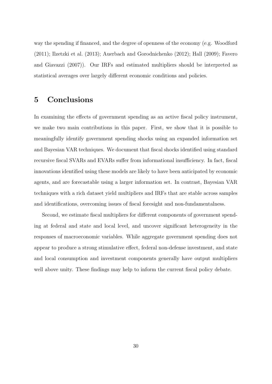way the spending if financed, and the degree of openness of the economy (e.g. Woodford (2011); Ilzetzki et al. (2013); Auerbach and Gorodnichenko (2012); Hall (2009); Favero and Giavazzi (2007)). Our IRFs and estimated multipliers should be interpreted as statistical averages over largely different economic conditions and policies.

## 5 Conclusions

In examining the effects of government spending as an active fiscal policy instrument, we make two main contributions in this paper. First, we show that it is possible to meaningfully identify government spending shocks using an expanded information set and Bayesian VAR techniques. We document that fiscal shocks identified using standard recursive fiscal SVARs and EVARs suffer from informational insufficiency. In fact, fiscal innovations identified using these models are likely to have been anticipated by economic agents, and are forecastable using a larger information set. In contrast, Bayesian VAR techniques with a rich dataset yield multipliers and IRFs that are stable across samples and identifications, overcoming issues of fiscal foresight and non-fundamentalness.

Second, we estimate fiscal multipliers for different components of government spending at federal and state and local level, and uncover significant heterogeneity in the responses of macroeconomic variables. While aggregate government spending does not appear to produce a strong stimulative effect, federal non-defense investment, and state and local consumption and investment components generally have output multipliers well above unity. These findings may help to inform the current fiscal policy debate.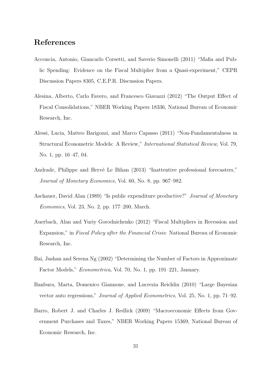## References

- Acconcia, Antonio, Giancarlo Corsetti, and Saverio Simonelli (2011) "Mafia and Public Spending: Evidence on the Fiscal Multiplier from a Quasi-experiment," CEPR Discussion Papers 8305, C.E.P.R. Discussion Papers.
- Alesina, Alberto, Carlo Favero, and Francesco Giavazzi (2012) "The Output Effect of Fiscal Consolidations," NBER Working Papers 18336, National Bureau of Economic Research, Inc.
- Alessi, Lucia, Matteo Barigozzi, and Marco Capasso (2011) "Non-Fundamentalness in Structural Econometric Models: A Review," International Statistical Review, Vol. 79, No. 1, pp. 16–47, 04.
- Andrade, Philippe and Hervé Le Bihan (2013) "Inattentive professional forecasters," Journal of Monetary Economics, Vol. 60, No. 8, pp. 967–982.
- Aschauer, David Alan (1989) "Is public expenditure productive?" Journal of Monetary Economics, Vol. 23, No. 2, pp. 177–200, March.
- Auerbach, Alan and Yuriy Gorodnichenko (2012) "Fiscal Multipliers in Recession and Expansion," in Fiscal Policy after the Financial Crisis: National Bureau of Economic Research, Inc.
- Bai, Jushan and Serena Ng (2002) "Determining the Number of Factors in Approximate Factor Models," Econometrica, Vol. 70, No. 1, pp. 191–221, January.
- Banbura, Marta, Domenico Giannone, and Lucrezia Reichlin (2010) "Large Bayesian vector auto regressions," Journal of Applied Econometrics, Vol. 25, No. 1, pp. 71–92.
- Barro, Robert J. and Charles J. Redlick (2009) "Macroeconomic Effects from Government Purchases and Taxes," NBER Working Papers 15369, National Bureau of Economic Research, Inc.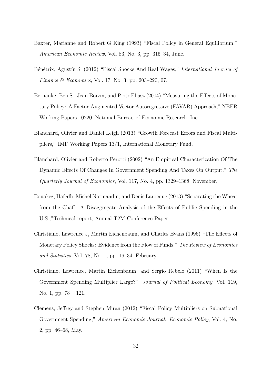- Baxter, Marianne and Robert G King (1993) "Fiscal Policy in General Equilibrium," American Economic Review, Vol. 83, No. 3, pp. 315–34, June.
- Bénétrix, Agustín S. (2012) "Fiscal Shocks And Real Wages," *International Journal of Finance & Economics*, Vol. 17, No. 3, pp. 203–220, 07.
- Bernanke, Ben S., Jean Boivin, and Piotr Eliasz (2004) "Measuring the Effects of Monetary Policy: A Factor-Augmented Vector Autoregressive (FAVAR) Approach," NBER Working Papers 10220, National Bureau of Economic Research, Inc.
- Blanchard, Olivier and Daniel Leigh (2013) "Growth Forecast Errors and Fiscal Multipliers," IMF Working Papers 13/1, International Monetary Fund.
- Blanchard, Olivier and Roberto Perotti (2002) "An Empirical Characterization Of The Dynamic Effects Of Changes In Government Spending And Taxes On Output," The Quarterly Journal of Economics, Vol. 117, No. 4, pp. 1329–1368, November.
- Bouakez, Hafedh, Michel Normandin, and Denis Larocque (2013) "Separating the Wheat from the Chaff: A Disaggregate Analysis of the Effects of Public Spending in the U.S.,"Technical report, Annual T2M Conference Paper.
- Christiano, Lawrence J, Martin Eichenbaum, and Charles Evans (1996) "The Effects of Monetary Policy Shocks: Evidence from the Flow of Funds," The Review of Economics and Statistics, Vol. 78, No. 1, pp. 16–34, February.
- Christiano, Lawrence, Martin Eichenbaum, and Sergio Rebelo (2011) "When Is the Government Spending Multiplier Large?" Journal of Political Economy, Vol. 119, No. 1, pp. 78 – 121.
- Clemens, Jeffrey and Stephen Miran (2012) "Fiscal Policy Multipliers on Subnational Government Spending," American Economic Journal: Economic Policy, Vol. 4, No. 2, pp. 46–68, May.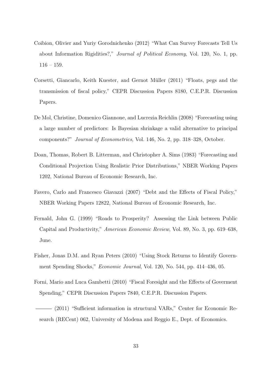- Coibion, Olivier and Yuriy Gorodnichenko (2012) "What Can Survey Forecasts Tell Us about Information Rigidities?," Journal of Political Economy, Vol. 120, No. 1, pp. 116 – 159.
- Corsetti, Giancarlo, Keith Kuester, and Gernot Müller (2011) "Floats, pegs and the transmission of fiscal policy," CEPR Discussion Papers 8180, C.E.P.R. Discussion Papers.
- De Mol, Christine, Domenico Giannone, and Lucrezia Reichlin (2008) "Forecasting using a large number of predictors: Is Bayesian shrinkage a valid alternative to principal components?" Journal of Econometrics, Vol. 146, No. 2, pp. 318–328, October.
- Doan, Thomas, Robert B. Litterman, and Christopher A. Sims (1983) "Forecasting and Conditional Projection Using Realistic Prior Distributions," NBER Working Papers 1202, National Bureau of Economic Research, Inc.
- Favero, Carlo and Francesco Giavazzi (2007) "Debt and the Effects of Fiscal Policy," NBER Working Papers 12822, National Bureau of Economic Research, Inc.
- Fernald, John G. (1999) "Roads to Prosperity? Assessing the Link between Public Capital and Productivity," American Economic Review, Vol. 89, No. 3, pp. 619–638, June.
- Fisher, Jonas D.M. and Ryan Peters (2010) "Using Stock Returns to Identify Government Spending Shocks," Economic Journal, Vol. 120, No. 544, pp. 414–436, 05.
- Forni, Mario and Luca Gambetti (2010) "Fiscal Foresight and the Effects of Goverment Spending," CEPR Discussion Papers 7840, C.E.P.R. Discussion Papers.
- (2011) "Sufficient information in structural VARs," Center for Economic Research (RECent) 062, University of Modena and Reggio E., Dept. of Economics.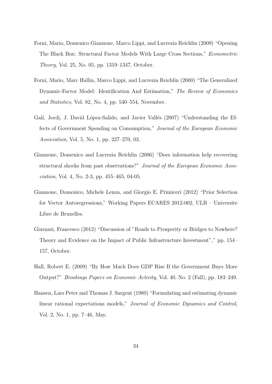- Forni, Mario, Domenico Giannone, Marco Lippi, and Lucrezia Reichlin (2009) "Opening The Black Box: Structural Factor Models With Large Cross Sections," Econometric Theory, Vol. 25, No. 05, pp. 1319–1347, October.
- Forni, Mario, Marc Hallin, Marco Lippi, and Lucrezia Reichlin (2000) "The Generalized Dynamic-Factor Model: Identification And Estimation," The Review of Economics and Statistics, Vol. 82, No. 4, pp. 540–554, November.
- Galí, Jordi, J. David López-Salido, and Javier Vallés (2007) "Understanding the Effects of Government Spending on Consumption," Journal of the European Economic Association, Vol. 5, No. 1, pp. 227–270, 03.
- Giannone, Domenico and Lucrezia Reichlin (2006) "Does information help recovering structural shocks from past observations?" Journal of the European Economic Association, Vol. 4, No. 2-3, pp. 455–465, 04-05.
- Giannone, Domenico, Michele Lenza, and Giorgio E. Primiceri (2012) "Prior Selection for Vector Autoregressions," Working Papers ECARES 2012-002, ULB – Universite Libre de Bruxelles.
- Giavazzi, Francesco (2012) "Discussion of "Roads to Prosperity or Bridges to Nowhere? Theory and Evidence on the Impact of Public Infrastructure Investment"," pp. 154– 157, October.
- Hall, Robert E. (2009) "By How Much Does GDP Rise If the Government Buys More Output?" Brookings Papers on Economic Activity, Vol. 40, No. 2 (Fall), pp. 183–249.
- Hansen, Lars Peter and Thomas J. Sargent (1980) "Formulating and estimating dynamic linear rational expectations models," Journal of Economic Dynamics and Control, Vol. 2, No. 1, pp. 7–46, May.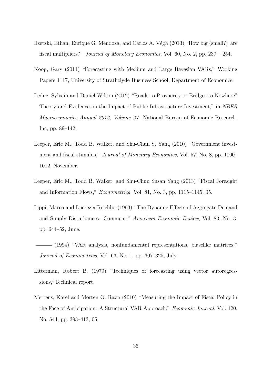- Ilzetzki, Ethan, Enrique G. Mendoza, and Carlos A. Végh (2013) "How big (small?) are fiscal multipliers?" Journal of Monetary Economics, Vol. 60, No. 2, pp. 239 – 254.
- Koop, Gary (2011) "Forecasting with Medium and Large Bayesian VARs," Working Papers 1117, University of Strathclyde Business School, Department of Economics.
- Leduc, Sylvain and Daniel Wilson (2012) "Roads to Prosperity or Bridges to Nowhere? Theory and Evidence on the Impact of Public Infrastructure Investment," in NBER Macroeconomics Annual 2012, Volume 27: National Bureau of Economic Research, Inc, pp. 89–142.
- Leeper, Eric M., Todd B. Walker, and Shu-Chun S. Yang (2010) "Government investment and fiscal stimulus," Journal of Monetary Economics, Vol. 57, No. 8, pp. 1000– 1012, November.
- Leeper, Eric M., Todd B. Walker, and Shu-Chun Susan Yang (2013) "Fiscal Foresight and Information Flows," Econometrica, Vol. 81, No. 3, pp. 1115–1145, 05.
- Lippi, Marco and Lucrezia Reichlin (1993) "The Dynamic Effects of Aggregate Demand and Supply Disturbances: Comment," American Economic Review, Vol. 83, No. 3, pp. 644–52, June.
- (1994) "VAR analysis, nonfundamental representations, blaschke matrices," Journal of Econometrics, Vol. 63, No. 1, pp. 307–325, July.
- Litterman, Robert B. (1979) "Techniques of forecasting using vector autoregressions,"Technical report.
- Mertens, Karel and Morten O. Ravn (2010) "Measuring the Impact of Fiscal Policy in the Face of Anticipation: A Structural VAR Approach," Economic Journal, Vol. 120, No. 544, pp. 393–413, 05.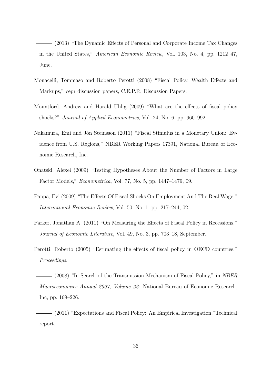(2013) "The Dynamic Effects of Personal and Corporate Income Tax Changes in the United States," American Economic Review, Vol. 103, No. 4, pp. 1212–47, June.

- Monacelli, Tommaso and Roberto Perotti (2008) "Fiscal Policy, Wealth Effects and Markups," cepr discussion papers, C.E.P.R. Discussion Papers.
- Mountford, Andrew and Harald Uhlig (2009) "What are the effects of fiscal policy shocks?" Journal of Applied Econometrics, Vol. 24, No. 6, pp. 960–992.
- Nakamura, Emi and Jón Steinsson (2011) "Fiscal Stimulus in a Monetary Union: Evidence from U.S. Regions," NBER Working Papers 17391, National Bureau of Economic Research, Inc.
- Onatski, Alexei (2009) "Testing Hypotheses About the Number of Factors in Large Factor Models," Econometrica, Vol. 77, No. 5, pp. 1447–1479, 09.
- Pappa, Evi (2009) "The Effects Of Fiscal Shocks On Employment And The Real Wage," International Economic Review, Vol. 50, No. 1, pp. 217–244, 02.
- Parker, Jonathan A. (2011) "On Measuring the Effects of Fiscal Policy in Recessions," Journal of Economic Literature, Vol. 49, No. 3, pp. 703–18, September.
- Perotti, Roberto (2005) "Estimating the effects of fiscal policy in OECD countries," Proceedings.

(2008) "In Search of the Transmission Mechanism of Fiscal Policy," in NBER Macroeconomics Annual 2007, Volume 22: National Bureau of Economic Research, Inc, pp. 169–226.

(2011) "Expectations and Fiscal Policy: An Empirical Investigation,"Technical report.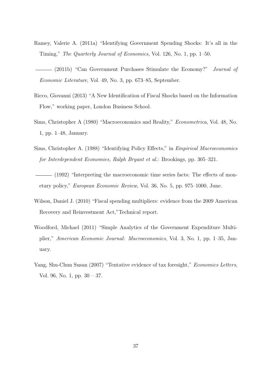- Ramey, Valerie A. (2011a) "Identifying Government Spending Shocks: It's all in the Timing," The Quarterly Journal of Economics, Vol. 126, No. 1, pp. 1–50.
- (2011b) "Can Government Purchases Stimulate the Economy?" Journal of Economic Literature, Vol. 49, No. 3, pp. 673–85, September.
- Ricco, Giovanni (2013) "A New Identification of Fiscal Shocks based on the Information Flow," working paper, London Business School.
- Sims, Christopher A (1980) "Macroeconomics and Reality," Econometrica, Vol. 48, No. 1, pp. 1–48, January.
- Sims, Christopher A. (1988) "Identifying Policy Effects," in Empirical Macroeconomics for Interdependent Economies, Ralph Bryant et al.: Brookings, pp. 305–321.
- (1992) "Interpreting the macroeconomic time series facts: The effects of monetary policy," European Economic Review, Vol. 36, No. 5, pp. 975–1000, June.
- Wilson, Daniel J. (2010) "Fiscal spending multipliers: evidence from the 2009 American Recovery and Reinvestment Act,"Technical report.
- Woodford, Michael (2011) "Simple Analytics of the Government Expenditure Multiplier," American Economic Journal: Macroeconomics, Vol. 3, No. 1, pp. 1–35, January.
- Yang, Shu-Chun Susan (2007) "Tentative evidence of tax foresight," Economics Letters, Vol. 96, No. 1, pp. 30 – 37.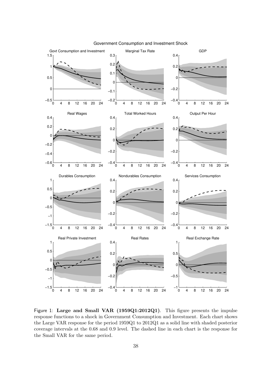

Government Consumption and Investment Shock

Figure 1: Large and Small VAR (1959Q1:2012Q1). This figure presents the impulse response functions to a shock in Government Consumption and Investment. Each chart shows the Large VAR response for the period 1959Q1 to 2012Q1 as a solid line with shaded posterior coverage intervals at the 0.68 and 0.9 level. The dashed line in each chart is the response for the Small VAR for the same period.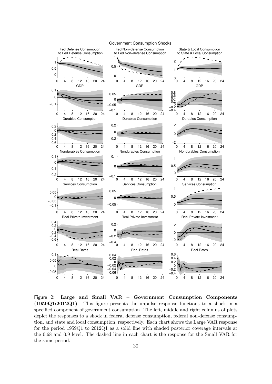

Figure 2: Large and Small VAR – Government Consumption Components (1959Q1:2012Q1). This figure presents the impulse response functions to a shock in a specified component of government consumption. The left, middle and right columns of plots depict the responses to a shock in federal defense consumption, federal non-defense consumption, and state and local consumption, respectively. Each chart shows the Large VAR response for the period 1959Q1 to 2012Q1 as a solid line with shaded posterior coverage intervals at the 0.68 and 0.9 level. The dashed line in each chart is the response for the Small VAR for the same period.

#### Government Consumption Shocks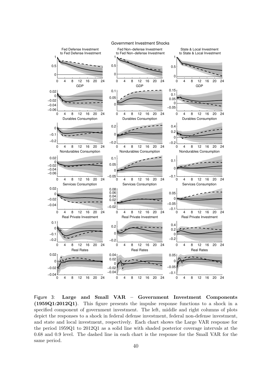

Figure 3: Large and Small VAR – Government Investment Components (1959Q1:2012Q1). This figure presents the impulse response functions to a shock in a specified component of government investment. The left, middle and right columns of plots depict the responses to a shock in federal defense investment, federal non-defense investment, and state and local investment, respectively. Each chart shows the Large VAR response for the period 1959Q1 to 2012Q1 as a solid line with shaded posterior coverage intervals at the 0.68 and 0.9 level. The dashed line in each chart is the response for the Small VAR for the same period.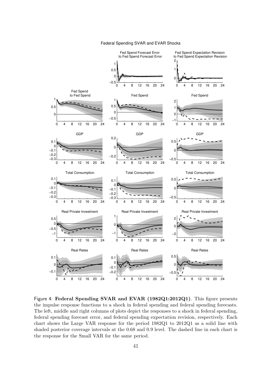Federal Spending SVAR and EVAR Shocks



Figure 4: Federal Spending SVAR and EVAR (1982Q1:2012Q1). This figure presents the impulse response functions to a shock in federal spending and federal spending forecasts. The left, middle and right columns of plots depict the responses to a shock in federal spending, federal spending forecast error, and federal spending expectation revision, respectively. Each chart shows the Large VAR response for the period 1982Q1 to 2012Q1 as a solid line with shaded posterior coverage intervals at the 0.68 and 0.9 level. The dashed line in each chart is the response for the Small VAR for the same period.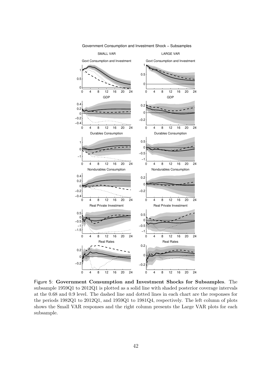

Government Consumption and Investment Shock − Subsamples

Figure 5: Government Consumption and Investment Shocks for Subsamples. The subsample 1959Q1 to 2012Q1 is plotted as a solid line with shaded posterior coverage intervals at the 0.68 and 0.9 level. The dashed line and dotted lines in each chart are the responses for the periods 1982Q1 to 2012Q1, and 1959Q1 to 1981Q4, respectively. The left column of plots shows the Small VAR responses and the right column presents the Large VAR plots for each subsample.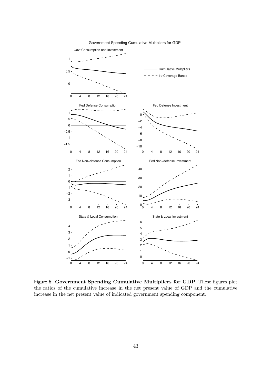

#### Government Spending Cumulative Multipliers for GDP

Figure 6: Government Spending Cumulative Multipliers for GDP. These figures plot the ratios of the cumulative increase in the net present value of GDP and the cumulative increase in the net present value of indicated government spending component.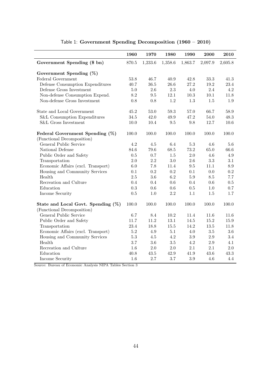|                                    | 1960      | 1970    | 1980       | 1990     | 2000    | 2010       |
|------------------------------------|-----------|---------|------------|----------|---------|------------|
| Government Spending (\$ bn)        | 870.5     | 1,233.6 | 1,358.6    | 1,863.7  | 2,097.9 | 2,605.8    |
| Government Spending $(\%)$         |           |         |            |          |         |            |
| Federal Government                 | 53.8      | 46.7    | 40.9       | 42.8     | 33.3    | 41.3       |
| Defense Consumption Expenditures   | 40.7      | 36.5    | 26.6       | 27.2     | 19.2    | 23.4       |
| Defense Gross Investment           | $5.0\,$   | 2.6     | $2.3\,$    | 4.0      | 2.4     | 4.2        |
| Non-defense Consumption Expend.    | 8.2       | 9.5     | 12.1       | $10.3\,$ | 10.1    | 11.8       |
| Non-defense Gross Investment       | 0.8       | 0.8     | 1.2        | 1.3      | 1.5     | 1.9        |
|                                    |           |         |            |          |         |            |
| State and Local Government         | 45.2      | 53.0    | 59.3       | 57.0     | 66.7    | 58.9       |
| S&L Consumption Expenditures       | $34.5\,$  | 42.0    | $\rm 49.9$ | 47.2     | 54.0    | 48.3       |
| S&L Gross Investment               | 10.0      | 10.4    | $9.5\,$    | 9.8      | 12.7    | 10.6       |
| Federal Government Spending (%)    | 100.0     | 100.0   | 100.0      | 100.0    | 100.0   | 100.0      |
| (Functional Decomposition)         |           |         |            |          |         |            |
| General Public Service             | 4.2       | 4.5     | 6.4        | 5.3      | 4.6     | 5.6        |
| National Defense                   | 84.6      | 79.6    | 68.5       | 73.2     | 65.0    | 66.6       |
| Public Order and Safety            | 0.5       | 0.7     | 1.5        | $2.0\,$  | 4.6     | 4.9        |
| Transportation                     | 2.0       | 2.2     | 3.0        | 2.6      | 3.3     | 3.1        |
| Economic Affairs (excl. Transport) | 6.0       | 7.8     | 11.4       | $\,9.5$  | 11.1    | $\ \, 8.9$ |
| Housing and Community Services     | 0.1       | 0.2     | 0.2        | 0.1      | 0.0     | 0.2        |
| Health                             | $2.5\,$   | 3.6     | 6.2        | $5.9\,$  | 8.5     | 7.7        |
| Recreation and Culture             | 0.4       | 0.4     | 0.6        | 0.4      | 0.6     | 0.5        |
| Education                          | $\rm 0.3$ | 0.6     | $0.6\,$    | $0.5\,$  | $1.0\,$ | $0.7\,$    |
| Income Security                    | $0.5\,$   | 1.0     | 2.2        | $1.1\,$  | $1.5\,$ | 1.7        |
| State and Local Govt. Spending (%) | 100.0     | 100.0   | 100.0      | 100.0    | 100.0   | 100.0      |
| (Functional Decomposition)         |           |         |            |          |         |            |
| General Public Service             | 6.7       | 8.4     | 10.2       | 11.4     | 11.6    | 11.6       |
| Public Order and Safety            | 11.7      | 11.2    | 13.1       | 14.5     | 15.2    | 15.9       |
| Transportation                     | 23.4      | 18.8    | $15.5\,$   | 14.2     | 13.5    | 11.8       |
| Economic Affairs (excl. Transport) | $5.2\,$   | 4.9     | 5.1        | 4.0      | $3.5\,$ | 3.6        |
| Housing and Community Services     | 5.3       | 4.5     | 4.2        | $3.9\,$  | $2.9\,$ | 3.4        |
| Health                             | 3.7       | 3.6     | $3.5\,$    | 4.2      | $2.9\,$ | 4.1        |
| Recreation and Culture             | 1.6       | $2.0\,$ | $2.0\,$    | $2.1\,$  | 2.1     | $2.0\,$    |
| Education                          | 40.8      | 43.5    | 42.9       | 41.9     | 43.6    | 43.3       |
| Income Security                    | 1.6       | 2.7     | 3.7        | 3.9      | 4.6     | 4.4        |

Table 1: Government Spending Decomposition (1960 – 2010)

Source: Bureau of Economic Analysis NIPA Tables Section 3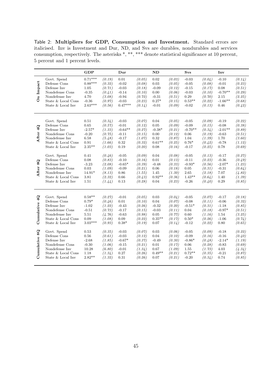Table 2: Multipliers for GDP, Consumption and Investment. Standard errors are italicised. Inv is Investment and Dur, ND, and Svs are durables, nondurables and services consumption, respectively. The asterisks \*, \*\*, \*\*\* denote statistical significance at 10 percent, 5 percent and 1 percent levels.

|                            |                                                                                                                            | <b>GDP</b>                                                                |                                                                    | Dur                                                                      |                                                                    | ND                                                               |                                                                    | $\mathbf{S}\mathbf{v}\mathbf{s}$                                        |                                                                    | Inv                                                                   |                                                                    |
|----------------------------|----------------------------------------------------------------------------------------------------------------------------|---------------------------------------------------------------------------|--------------------------------------------------------------------|--------------------------------------------------------------------------|--------------------------------------------------------------------|------------------------------------------------------------------|--------------------------------------------------------------------|-------------------------------------------------------------------------|--------------------------------------------------------------------|-----------------------------------------------------------------------|--------------------------------------------------------------------|
| Impact<br>$\overline{a}$   | Govt. Spend<br>Defense Cons<br>Defense Inv<br>Nondefense Cons<br>Nondefense Inv<br>State & Local Cons<br>State & Local Inv | $0.71***$<br>$0.88***$<br>1.05<br>$-0.35$<br>4.70<br>$-0.36$<br>$2.63***$ | (0.19)<br>(0.32)<br>(0.71)<br>(0.41)<br>(3.08)<br>(0.97)<br>(0.56) | 0.01<br>$-0.02$<br>$-0.03$<br>$-0.14$<br>$-0.94$<br>$-0.03$<br>$0.47***$ | (0.05)<br>(0.08)<br>(0.18)<br>(0.10)<br>(0.72)<br>(0.23)<br>(0.14) | 0.02<br>0.03<br>$-0.09$<br>0.00<br>$-0.31$<br>$0.27*$<br>$-0.01$ | (0.03)<br>(0.05)<br>(0.12)<br>(0.06)<br>(0.51)<br>(0.15)<br>(0.09) | $-0.03$<br>$-0.05$<br>$-0.15$<br>$-0.03$<br>0.29<br>$0.53**$<br>$-0.02$ | (0.04)<br>(0.08)<br>(0.17)<br>(0.10)<br>(0.70)<br>(0.22)<br>(0.13) | $-0.10$<br>$-0.01$<br>0.08<br>$-0.70**$<br>2.15<br>$-1.66**$<br>0.46  | (0.14)<br>(0.23)<br>(0.51)<br>(0.29)<br>(2.25)<br>(0.68)<br>(0.42) |
| After 4Q                   | Govt. Spend<br>Defense Cons<br>Defense Inv<br>Nondefense Cons<br>Nondefense Inv<br>State & Local Cons<br>State & Local Inv | 0.51<br>0.65<br>$-2.57*$<br>$-0.20$<br>6.58<br>0.91<br>$2.35**$           | (0.34)<br>(0.57)<br>(1.33)<br>(0.75)<br>(5.48)<br>(1.66)<br>(1.03) | $-0.03$<br>$-0.01$<br>$-0.64**$<br>$-0.11$<br>$-0.17$<br>0.32<br>0.19    | (0.07)<br>(0.12)<br>(0.27)<br>(0.15)<br>(1.07)<br>(0.32)<br>(0.20) | 0.04<br>0.05<br>$-0.38*$<br>0.00<br>0.32<br>$0.61**$<br>0.08     | (0.05)<br>(0.09)<br>(0.21)<br>(0.12)<br>(0.87)<br>(0.25)<br>(0.16) | $-0.05$<br>$-0.09$<br>$-0.70**$<br>0.06<br>1.04<br>$0.76*$<br>$-0.17$   | (0.09)<br>(0.15)<br>(0.34)<br>(0.19)<br>(1.39)<br>(0.42)<br>(0.25) | $-0.19$<br>$-0.08$<br>$-2.01**$<br>$-0.63$<br>1.70<br>$-0.78$<br>0.78 | (0.22)<br>(0.38)<br>(0.89)<br>(0.51)<br>(3.60)<br>(1.12)<br>(0.69) |
| 8Q<br>After                | Govt. Spend<br>Defense Cons<br>Defense Inv<br>Nondefense Cons<br>Nondefense Inv<br>State & Local Cons<br>State & Local Inv | 0.41<br>0.08<br>$-3.23$<br>0.03<br>$14.91*$<br>3.81<br>1.51               | (0.46)<br>(0.83)<br>(2.08)<br>(1.09)<br>(8.13)<br>(2.32)<br>(1.44) | $-0.05$<br>$-0.10$<br>$-0.65*$<br>$-0.09$<br>0.86<br>0.66<br>0.13        | (0.09)<br>(0.16)<br>(0.39)<br>(0.21)<br>(1.55)<br>(0.43)<br>(0.28) | 0.04<br>0.01<br>$-0.48$<br>0.06<br>1.45<br>$0.92**$<br>0.04      | (0.08)<br>(0.13)<br>(0.33)<br>(0.18)<br>(1.30)<br>(0.36)<br>(0.23) | $-0.05$<br>$-0.11$<br>$-0.93*$<br>0.05<br>2.65<br>$1.43**$<br>$-0.26$   | (0.13)<br>(0.23)<br>(0.56)<br>(0.31)<br>(2.18)<br>(0.64)<br>(0.40) | $-0.17$<br>$-0.36$<br>$-2.07*$<br>$-0.31$<br>7.07<br>1.40<br>0.29     | (0.27)<br>(0.49)<br>(1.23)<br>(0.64)<br>(4.82)<br>(1.39)<br>(0.85) |
| $\mathbf{Q}$<br>Cumulative | Govt. Spend<br>Defense Cons<br>Defense Inv<br>Nondefense Cons<br>Nondefense Inv<br>State & Local Cons<br>State & Local Inv | $0.58**$<br>$0.79*$<br>$-1.02$<br>$-0.51$<br>5.51<br>0.09<br>$3.03***$    | (0.27)<br>(0.46)<br>(1.22)<br>(0.73)<br>(4.76)<br>(1.08)<br>(0.93) | $-0.01$<br>0.01<br>$-0.43$<br>$-0.17$<br>$-0.63$<br>0.09<br>$0.38*$      | (0.05)<br>(0.10)<br>(0.26)<br>(0.15)<br>(0.98)<br>(0.22)<br>(0.19) | 0.03<br>0.04<br>$-0.32$<br>$-0.03$<br>0.05<br>$0.35**$<br>0.07   | (0.04)<br>(0.07)<br>(0.20)<br>(0.11)<br>(0.77)<br>(0.17)<br>(0.14) | $-0.05$<br>$-0.08$<br>$-0.51*$<br>0.04<br>0.60<br>$0.50*$<br>$-0.12$    | (0.07)<br>(0.11)<br>(0.31)<br>(0.18)<br>(1.16)<br>(0.26)<br>(0.22) | $-0.17$<br>$-0.06$<br>$-1.18$<br>$-0.97*$<br>1.54<br>$-1.06$<br>0.80  | (0.18)<br>(0.32)<br>(0.85)<br>(0.51)<br>(3.25)<br>(0.74)<br>(0.65) |
| Cumulative 8Q              | Govt. Spend<br>Defense Cons<br>Defense Inv<br>Nondefense Cons<br>Nondefense Inv<br>State & Local Cons<br>State & Local Inv | 0.53<br>0.56<br>$-2.68$<br>$-0.30$<br>10.28<br>1.18<br>$2.82**$           | (0.35)<br>(0.61)<br>(1.85)<br>(1.06)<br>(6.80)<br>(1.34)<br>(1.32) | $-0.03$<br>$-0.03$<br>$-0.67*$<br>$-0.15$<br>$-0.01$<br>0.27<br>0.31     | (0.07)<br>(0.12)<br>(0.37)<br>(0.21)<br>(1.34)<br>(0.26)<br>(0.26) | 0.03<br>0.04<br>$-0.49$<br>0.01<br>0.67<br>$0.49**$<br>0.07      | (0.06)<br>(0.10)<br>(0.30)<br>(0.17)<br>(1.09)<br>(0.21)<br>(0.21) | $-0.05$<br>$-0.09$<br>$-0.86*$<br>0.06<br>1.55<br>$0.72**$<br>$-0.20$   | (0.09)<br>(0.16)<br>(0.48)<br>(0.28)<br>(1.73)<br>(0.35)<br>(0.34) | $-0.18$<br>$-0.16$<br>$-2.14*$<br>$-0.83$<br>4.03<br>$-0.21$<br>0.74  | (0.22)<br>(0.40)<br>(1.19)<br>(0.69)<br>(4.34)<br>(0.87)<br>(0.85) |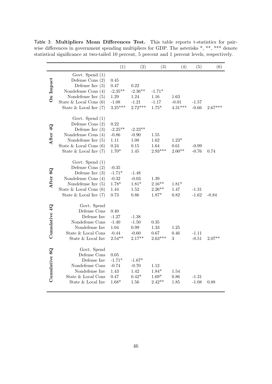Table 3: Multipliers Mean Differences Test. This table reports t-statistics for pairwise differences in government spending multipliers for GDP. The asterisks \*, \*\*, \*\*\* denote statistical significance at two-tailed 10 percent, 5 percent and 1 percent levels, respectively.

|               |                                                                                                                                                                        | (1)                                                           | (2)                                               | (3)                                     | (4)                          | (5)                | (6)       |
|---------------|------------------------------------------------------------------------------------------------------------------------------------------------------------------------|---------------------------------------------------------------|---------------------------------------------------|-----------------------------------------|------------------------------|--------------------|-----------|
| On Impact     | Govt. Spend $(1)$<br>Defense Cons $(2)$<br>Defense Inv $(3)$<br>Nondefense Cons $(4)$<br>Nondefense Inv $(5)$<br>State & Local Cons $(6)$<br>State $&$ Local Inv $(7)$ | 0.45<br>0.47<br>$-2.35**$<br>$1.29\,$<br>$-1.08$<br>$3.25***$ | 0.22<br>$-2.36**$<br>1.24<br>$-1.21$<br>$2.72***$ | $-1.71*$<br>1.16<br>$-1.17$<br>$1.75*$  | 1.63<br>$-0.01$<br>$4.31***$ | $-1.57$<br>$-0.66$ | $2.67***$ |
| After 4Q      | Govt. Spend (1)<br>Defense Cons $(2)$<br>Defense Inv $(3)$<br>Nondefense Cons $(4)$<br>Nondefense Inv $(5)$<br>State $& Local Cons(6)$<br>State $&$ Local Inv $(7)$    | 0.22<br>$-2.25**$<br>$-0.86$<br>1.11<br>0.24<br>$1.70*$       | $-2.23**$<br>$-0.90$<br>1.08<br>0.15<br>1.45      | 1.55<br>1.62<br>1.64<br>$2.93***$       | $1.23*$<br>0.61<br>$2.00**$  | $-0.99$<br>$-0.76$ | 0.74      |
| After 8Q      | Govt. Spend $(1)$<br>Defense Cons $(2)$<br>Defense Inv $(3)$<br>Nondefense Cons (4)<br>Nondefense Inv $(5)$<br>State $& Local Cons(6)$<br>State $&$ Local Inv $(7)$    | $-0.35$<br>$-1.71*$<br>$-0.32$<br>$1.78*$<br>1.44<br>$0.73\,$ | $-1.48$<br>$-0.03$<br>$1.81*$<br>1.52<br>0.86     | 1.39<br>$2.16**$<br>$2.26**$<br>$1.87*$ | $1.81*$<br>1.47<br>0.82      | $-1.31$<br>$-1.62$ | $-0.84$   |
| Cumulative 4Q | Govt. Spend<br>Defense Cons<br>Defense Inv<br>Nondefense Cons<br>Nondefense Inv<br>State & Local Cons<br>State & Local Inv                                             | 0.40<br>$-1.27$<br>$-1.40$<br>1.04<br>$-0.44$<br>$2.54***$    | $-1.38$<br>$-1.50$<br>0.99<br>$-0.60$<br>$2.17**$ | $0.35\,$<br>1.33<br>0.67<br>$2.63***$   | 1.25<br>0.46<br>3            | $-1.11$<br>$-0.51$ | $2.07**$  |
| Cumulative 8Q | Govt. Spend<br>Defense Cons<br>Defense Inv<br>Nondefense Cons<br>Nondefense Inv<br>State & Local Cons<br>State & Local Inv                                             | 0.05<br>$-1.71*$<br>$-0.74$<br>1.43<br>0.47<br>$1.68*$        | $-1.67*$<br>$-0.70$<br>1.42<br>$0.42*$<br>1.56    | 1.12<br>$1.84*$<br>$1.69*$<br>$2.42**$  | 1.54<br>0.86<br>1.85         | $-1.31$<br>$-1.08$ | 0.88      |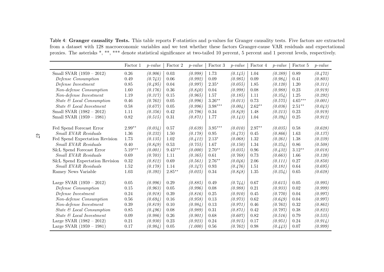Table 4: Granger causality Tests. This table reports F-statistics and p-values for Granger causality tests. Five factors are extracted from <sup>a</sup> dataset with <sup>128</sup> macroeconomic variables and we test whether these factors Granger-cause VAR residuals and expectational proxies. The asterisks \*, \*\*, \*\*\* denote statistical significance at two-tailed <sup>10</sup> percent, <sup>5</sup> percent and <sup>1</sup> percent levels, respectively.

|                                | Factor 1  | $p-value$ | Factor 2  | $p-value$ | Factor 3              | $p-value$ | Factor 4 | $p-value$ | Factor 5  | $p-value$ |
|--------------------------------|-----------|-----------|-----------|-----------|-----------------------|-----------|----------|-----------|-----------|-----------|
| Small SVAR $(1959 - 2012)$     | 0.26      | (0.906)   | 0.03      | (0.998)   | 1.73                  | (0.145)   | 1.04     | (0.389)   | 0.89      | (0.472)   |
| Defense Consumption            | 0.49      | (0.743)   | 0.06      | (0.992)   | 0.09                  | (0.985)   | 0.09     | (0.984)   | 0.41      | (0.803)   |
| Defense Investment             | 0.85      | (0.495)   | 0.04      | (0.997)   | $2.35*$               | (0.055)   | 1.85     | (0.120)   | 1.20      | (0.311)   |
| Non-defense Consumption        | 1.60      | (0.176)   | 0.36      | (0.840)   | 0.04                  | (0.998)   | 0.08     | (0.988)   | 0.23      | (0.919)   |
| Non-defense Investment         | 1.19      | (0.317)   | 0.15      | (0.965)   | 1.57                  | (0.185)   | 1.11     | (0.354)   | 1.25      | (0.292)   |
| State & Local Consumption      | 0.46      | (0.762)   | 0.05      | (0.996)   | $3.26**$              | (0.013)   | 0.73     | (0.575)   | $4.65***$ | (0.001)   |
| State & Local Investment       | 0.58      | (0.677)   | 0.05      | (0.996)   | $3.98***$             | (0.004)   | $2.62**$ | (0.036)   | $2.51***$ | (0.043)   |
| Small SVAR $(1982 - 2012)$     | 1.11      | (0.356)   | 0.42      | (0.796)   | 0.34                  | (0.849)   | 1.48     | (0.213)   | 0.23      | (0.919)   |
| Small SVAR (1959 - 1981)       | 0.82      | (0.515)   | 0.31      | (0.871)   | 1.77                  | (0.143)   | 1.04     | (0.394)   | 0.25      | (0.912)   |
|                                |           |           |           |           |                       |           |          |           |           |           |
| Fed Spend Forecast Error       | $2.99**$  | (0.034)   | 0.57      | (0.639)   | $3.95^{\ast\ast\ast}$ | (0.010)   | $2.97**$ | (0.035)   | 0.58      | (0.628)   |
| <b>Small EVAR Residuals</b>    | 1.36      | (0.232)   | 1.50      | (0.178)   | 0.95                  | (0.473)   | 0.45     | (0.866)   | 1.63      | (0.137)   |
| Fed Spend Expectation Revision | 1.73      | (0.135)   | 1.02      | (0.412)   | $2.13*$               | (0.068)   | 1.32     | (0.261)   | 1.38      | (0.239)   |
| <b>Small EVAR Residuals</b>    | 0.40      | (0.849)   | 0.53      | (0.755)   | 1.67                  | (0.150)   | 1.34     | (0.254)   | 0.86      | (0.508)   |
| S&L Spend Forecast Error       | $5.19***$ | (0.001)   | $9.43***$ | (0.000)   | $2.70**$              | (0.035)   | 0.96     | (0.432)   | $3.12**$  | (0.018)   |
| <b>Small EVAR Residuals</b>    | 0.69      | (0.703)   | 1.11      | (0.365)   | 0.61                  | (0.768)   | 0.73     | (0.663)   | 1.66      | (0.120)   |
| S&L Spend Expectation Revision | 0.32      | (0.812)   | 0.69      | (0.561)   | $2.76***$             | (0.046)   | 2.06     | (0.111)   | 0.27      | (0.850)   |
| <b>Small EVAR Residuals</b>    | 1.52      | (0.178)   | 1.14      | (0.347)   | 0.93                  | (0.476)   | 1.51     | (0.181)   | 0.64      | (0.695)   |
| Ramey News Variable            | 1.03      | (0.392)   | $2.85***$ | (0.025)   | 0.34                  | (0.848)   | 1.35     | (0.254)   | 0.65      | (0.628)   |
|                                |           |           |           |           |                       |           |          |           |           |           |
| Large SVAR $(1959 - 2012)$     | 0.05      | (0.996)   | 0.29      | (0.885)   | 0.49                  | (0.744)   | 0.67     | (0.615)   | 0.05      | (0.995)   |
| Defense Consumption            | 0.15      | (0.963)   | 0.05      | (0.996)   | 0.08                  | (0.988)   | 0.21     | (0.933)   | 0.02      | (0.999)   |
| Defense Investment             | 0.24      | (0.918)   | 0.39      | (0.816)   | 0.25                  | (0.910)   | 0.45     | (0.770)   | 0.04      | (0.997)   |
| Non-defense Consumption        | 0.56      | (0.694)   | 0.16      | (0.958)   | 0.13                  | (0.973)   | 0.62     | (0.649)   | 0.04      | (0.997)   |
| Non-defense Investment         | 0.39      | (0.819)   | 0.10      | (0.984)   | 0.13                  | (0.971)   | 0.46     | (0.762)   | 0.32      | (0.862)   |
| State & Local Consumption      | 0.85      | (0.496)   | 0.08      | (0.989)   | 0.31                  | (0.871)   | 0.42     | (0.797)   | 0.38      | (0.823)   |
| State & Local Investment       | 0.09      | (0.986)   | 0.26      | (0.901)   | 0.68                  | (0.607)   | 0.82     | (0.516)   | 0.79      | (0.535)   |
| Large SVAR $(1982 - 2012)$     | 0.21      | (0.930)   | 0.23      | (0.923)   | 0.24                  | (0.915)   | 0.17     | (0.951)   | 0.24      | (0.914)   |
| Large SVAR $(1959 - 1981)$     | 0.17      | (0.984)   | 0.05      | (1.000)   | 0.56                  | (0.762)   | 0.98     | (0.443)   | 0.07      | (0.999)   |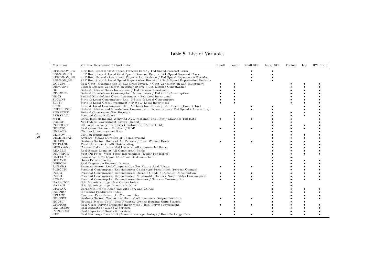| Mnemonic                                                         | Variable Description / Short Label                                                                                                                                                                                                                                                                                              | Small | Large | Small SPF | Large SPF | Factors | Log | RW Prior |
|------------------------------------------------------------------|---------------------------------------------------------------------------------------------------------------------------------------------------------------------------------------------------------------------------------------------------------------------------------------------------------------------------------|-------|-------|-----------|-----------|---------|-----|----------|
| RFEDGOV_FE<br><b>RSLGOV_FE</b><br>RFEDGOV_ER<br><b>RSLGOV_ER</b> | SPF Real Federal Govt Spend Forecast Error / Fed Spend Forecast Error<br>SPF Real State & Local Govt Spend Forecast Error / S&L Spend Forecast Error<br>SPF Real Federal Govt Spend Expectation Revision / Fed Spend Expectation Revision<br>SPF Real State & Local Spend Expectation Revision / S&L Spend Expectation Revision |       |       |           |           |         |     |          |
| GCEC96<br><b>DEFCONS</b>                                         | Real Govt. Consumption Exp. & Gross Invest. / Govt Consumption and Investment<br>Federal Defense Consumption Expenditures / Fed Defense Consumption                                                                                                                                                                             |       |       |           |           |         |     |          |
| $_{\rm DGI}$<br><b>CIVCONS</b><br>NDGI                           | Federal Defense Gross Investment / Fed Defense Investment<br>Federal Non-defense Consumption Expenditures / Fed Civil Consumption<br>Federal Non-defense Gross Investment / Fed Civil Investment                                                                                                                                |       |       |           |           |         |     |          |
| <b>SLCONS</b><br><b>SLINV</b>                                    | State & Local Consumption Exp. / State & Local Consumption<br>State & Local Gross Investment / State & Local Investment                                                                                                                                                                                                         |       |       |           |           |         |     |          |
| <b>SLCE</b><br>FEDSPEND<br>FGRECPT<br>PERSTAX                    | State & Local Consumption Exp. & Gross Investment / S&L Spend (Cons + Inv)<br>Federal Defense and Non-defense Consumption Expenditures / Fed Spend (Cons + Inv)<br>Federal Government Tax Receipts<br>Personal Current Taxes                                                                                                    |       |       |           |           |         |     |          |
| <b>MTR</b><br>FGDEF<br>PUBDEBT                                   | Barro-Redlick Income Weighted Avg. Marginal Tax Rate / Marginal Tax Rate<br>Net Federal Government Saving (Deficit)<br>US Total Treasury Securities Outstanding (Public Debt)                                                                                                                                                   |       |       |           |           |         |     |          |
| GDPC96<br>UNRATE<br>CE16OV                                       | Real Gross Domestic Product / GDP<br>Civilian Unemployment Rate<br>Civilian Employment                                                                                                                                                                                                                                          |       |       |           |           |         |     |          |
| <b>UEMPMEAN</b><br>HOABS<br><b>TOTALSL</b>                       | Average (Mean) Duration of Unemployment<br>Business Sector: Hours of All Persons / Total Worked Hours<br>Total Consumer Credit Outstanding                                                                                                                                                                                      |       |       |           |           |         |     |          |
| <b>BUSLOANS</b><br><b>REALLN</b><br>OILPRICE<br><b>UMCSENT</b>   | Commercial and Industrial Loans at All Commercial Banks<br>Real Estate Loans at All Commercial Banks<br>Spot Oil Price: West Texas Intermediate (Dollar Per Barrel)<br>University of Michigan: Consumer Sentiment Index                                                                                                         |       |       |           |           |         |     |          |
| <b>GPSAVE</b><br>DSPIC96<br><b>RCPHBS</b>                        | Gross Private Saving<br>Real Disposable Personal Income                                                                                                                                                                                                                                                                         |       |       |           |           |         |     |          |
| PCECTPI<br>PCDG                                                  | Business Sector: Real Compensation Per Hour / Real Wages<br>Personal Consumption Expenditures: Chain-type Price Index (Percent Change)<br>Personal Consumption Expenditures: Durable Goods / Durables Consumption                                                                                                               |       |       |           |           |         |     |          |
| PCND<br><b>PCESV</b><br><b>NAPMNOI</b>                           | Personal Consumption Expenditures: Nondurable Goods / Nondurables Consumption<br>Personal Consumption Expenditures: Services / Services Consumption<br>ISM Manufacturing: New Orders Index                                                                                                                                      |       |       |           |           |         |     |          |
| NAPMII<br>CPATAX<br><b>INDPRO</b>                                | ISM Manufacturing: Inventories Index<br>Corporate Profits After Tax with IVA and CCAdj<br>Industrial Production Index                                                                                                                                                                                                           |       |       |           |           |         |     |          |
| PPIACO<br>OPHPBS<br>HOUST                                        | Producer Price Index: All Commodities<br>Business Sector: Output Per Hour of All Persons / Output Per Hour<br>Housing Starts: Total: New Privately Owned Housing Units Started                                                                                                                                                  |       |       |           |           |         |     |          |
| GPDIC96<br>EXPGSC96<br>IMPGSC96                                  | Real Gross Private Domestic Investment / Real Private Investment<br>Real Exports of Goods & Services<br>Real Imports of Goods & Services                                                                                                                                                                                        |       |       |           |           |         |     |          |
| RER                                                              | Real Exchange Rate USD (3 month average closing) / Real Exchange Rate                                                                                                                                                                                                                                                           |       |       |           |           |         |     |          |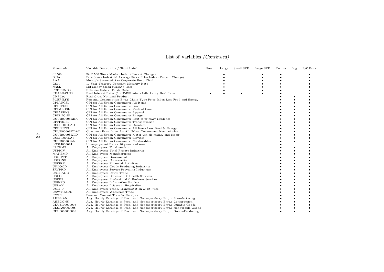| Mnemonic                     | Variable Description / Short Label                                      | Small | Large | Small SPF | Large SPF | Factors | Log | RW Prior |
|------------------------------|-------------------------------------------------------------------------|-------|-------|-----------|-----------|---------|-----|----------|
| SP500                        | S&P 500 Stock Market Index (Percent Change)                             |       |       |           |           |         |     |          |
| <b>DJIA</b>                  | Dow Jones Industrial Average Stock Price Index (Percent Change)         |       |       |           |           |         |     |          |
| AAA                          | Moody's Seasoned Aaa Corporate Bond Yield                               |       |       |           |           |         |     |          |
| GS10                         | 10-Year Treasury Constant Maturity Rate                                 |       |       |           |           |         |     |          |
| M2SL                         | M2 Money Stock (Growth Rate)                                            |       |       |           |           |         |     |          |
| <b>FEDFUNDS</b>              | Effective Federal Funds Rate                                            |       |       |           |           |         |     |          |
| <b>REALRATES</b>             | Real Interest Rates (3m T-Bill minus Inflation) / Real Rates            |       |       | $\bullet$ |           |         |     |          |
| GNPC96                       | Real Gross National Product                                             |       |       |           |           |         |     |          |
| PCEPILFE                     | Personal Consumption Exp.: Chain-Type Price Index Less Food and Energy  |       |       |           |           |         |     |          |
| CPIAUCSL                     | CPI for All Urban Consumers: All Items                                  |       |       |           |           |         |     |          |
| CPIUFDSL                     | CPI for All Urban Consumers: Food                                       |       |       |           |           |         |     |          |
| CPIMEDSL                     | CPI for All Urban Consumers: Medical Care                               |       |       |           |           |         |     |          |
| CPIAPPNS                     | CPI for All Urban Consumers: Apparel                                    |       |       |           |           |         |     |          |
| <b>CPIENGNS</b>              | CPI for All Urban Consumers: Energy                                     |       |       |           |           |         |     |          |
| CUUR0000SEHA                 | CPI for All Urban Consumers: Rent of primary residence                  |       |       |           |           |         |     |          |
| CPITRNSL                     | CPI for All Urban Consumers: Transportation                             |       |       |           |           |         |     |          |
| CUSR0000SAD                  | CPI for All Urban Consumers: Durables                                   |       |       |           |           |         |     |          |
| <b>CPILFENS</b>              | CPI for All Urban Consumers: All Items Less Food & Energy               |       |       |           |           |         |     |          |
| CUUR0000SETA01               | Consumer Price Index for All Urban Consumers: New vehicles              |       |       |           |           |         |     |          |
| CUUR0000SETD                 | CPI for All Urban Consumers: Motor vehicle maint. and repair            |       |       |           |           |         |     |          |
| CUSR0000SAS                  | CPI for All Urban Consumers: Services                                   |       |       |           |           |         |     |          |
| CUUR0000SAN                  | CPI for All Urban Consumers: Nondurables                                |       |       |           |           |         |     |          |
| LNS14000024<br><b>PAYEMS</b> | Unemployment Rate - 20 years and over<br>All Employees: Total nonfarm   |       |       |           |           |         |     |          |
| USPRIV                       | All Employees: Total Private Industries                                 |       |       |           |           |         |     |          |
| MANEMP                       | All Employees: Manufacturing                                            |       |       |           |           |         |     |          |
| <b>USGOVT</b>                | All Employees: Government                                               |       |       |           |           |         |     |          |
| <b>USCONS</b>                | All Employees: Construction                                             |       |       |           |           |         |     |          |
| <b>USFIRE</b>                | All Employees: Financial Activities                                     |       |       |           |           |         |     |          |
| <b>USGOOD</b>                | All Employees: Goods-Producing Industries                               |       |       |           |           |         |     |          |
| SRVPRD                       | All Employees: Service-Providing Industries                             |       |       |           |           |         |     |          |
| <b>USTRADE</b>               | All Employees: Retail Trade                                             |       |       |           |           |         |     |          |
| <b>USEHS</b>                 | All Employees: Education & Health Services                              |       |       |           |           |         |     |          |
| <b>USPBS</b>                 | All Employees: Professional & Business Services                         |       |       |           |           |         |     |          |
| <b>USINFO</b>                | All Employees: Information Services                                     |       |       |           |           |         |     |          |
| <b>USLAH</b>                 | All Employees: Leisure & Hospitality                                    |       |       |           |           |         |     |          |
| <b>USTPU</b>                 | All Employees: Trade, Transportation & Utilities                        |       |       |           |           |         |     |          |
| <b>USWTRADE</b>              | All Employees: Wholesale Trade                                          |       |       |           |           |         |     |          |
| PCTR                         | Personal Current Transfer Receipts                                      |       |       |           |           |         |     |          |
| AHEMAN                       | Avg. Hourly Earnings of Prod. and Nonsupervisory Emp.: Manufacturing    |       |       |           |           |         |     |          |
| <b>AHECONS</b>               | Avg. Hourly Earnings of Prod. and Nonsupervisory Emp.: Construction     |       |       |           |           |         |     |          |
| CEU3100000008                | Avg. Hourly Earnings of Prod. and Nonsupervisory Emp.: Durable Goods    |       |       |           |           |         |     |          |
| CES3200000008                | Avg. Hourly Earnings of Prod. and Nonsupervisory Emp.: Nondurable Goods |       |       |           |           |         |     |          |
| CEU0600000008                | Avg. Hourly Earnings of Prod. and Nonsupervisory Emp.: Goods-Producing  |       |       |           |           |         |     |          |

### List of Variables (Continued)